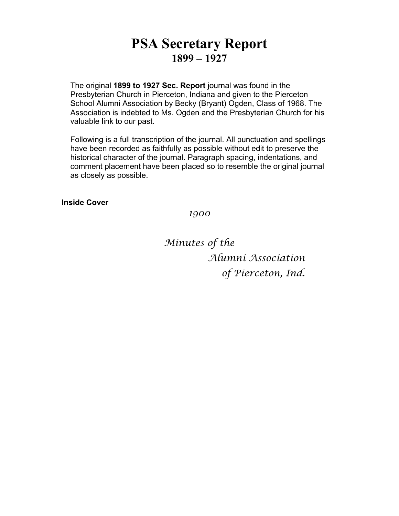# **PSA Secretary Report 1899 – 1927**

The original **1899 to 1927 Sec. Report** journal was found in the Presbyterian Church in Pierceton, Indiana and given to the Pierceton School Alumni Association by Becky (Bryant) Ogden, Class of 1968. The Association is indebted to Ms. Ogden and the Presbyterian Church for his valuable link to our past.

Following is a full transcription of the journal. All punctuation and spellings have been recorded as faithfully as possible without edit to preserve the historical character of the journal. Paragraph spacing, indentations, and comment placement have been placed so to resemble the original journal as closely as possible.

**Inside Cover**

*1900*

*Minutes of the Alumni Association of Pierceton, Ind.*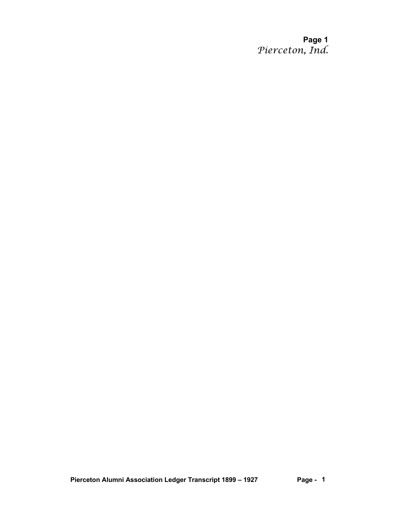**Page 1** *Pierceton, Ind.*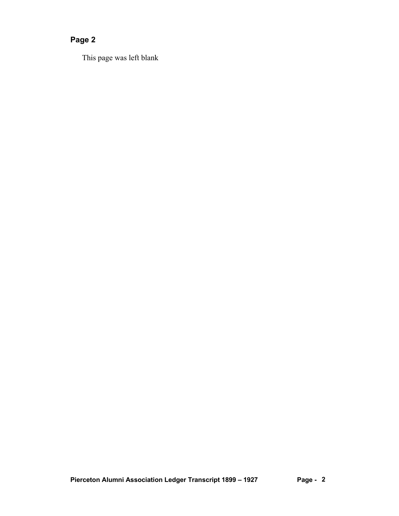This page was left blank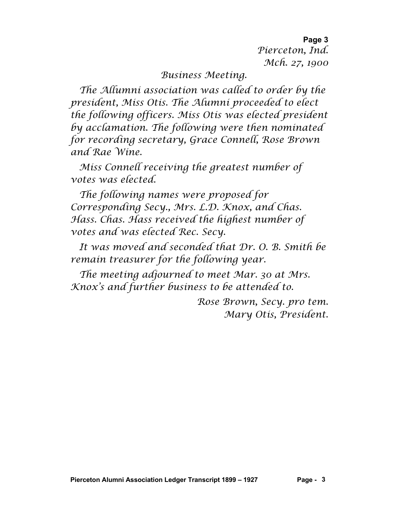**Page 3** *Pierceton, Ind. Mch. 27, 1900*

*Business Meeting.*

*The Allumni association was called to order by the president, Miss Otis. The Alumni proceeded to elect the following officers. Miss Otis was elected president by acclamation. The following were then nominated for recording secretary, Grace Connell, Rose Brown and Rae Wine.*

*Miss Connell receiving the greatest number of votes was elected.*

*The following names were proposed for Corresponding Secy., Mrs. L.D. Knox, and Chas. Hass. Chas. Hass received the highest number of votes and was elected Rec. Secy.*

*It was moved and seconded that Dr. O. B. Smith be remain treasurer for the following year.*

*The meeting adjourned to meet Mar. 30 at Mrs. Knox's and further business to be attended to.*

> *Rose Brown, Secy. pro tem. Mary Otis, President.*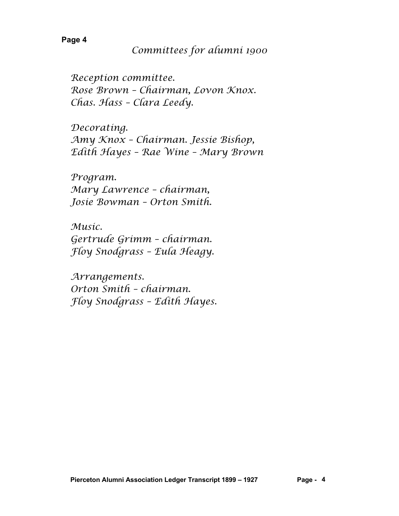*Reception committee. Rose Brown – Chairman, Lovon Knox. Chas. Hass – Clara Leedy.*

*Decorating. Amy Knox – Chairman. Jessie Bishop, Edith Hayes – Rae Wine – Mary Brown*

*Program. Mary Lawrence – chairman, Josie Bowman – Orton Smith.*

*Music. Gertrude Grimm – chairman. Floy Snodgrass – Eula Heagy.*

*Arrangements. Orton Smith – chairman. Floy Snodgrass – Edith Hayes.*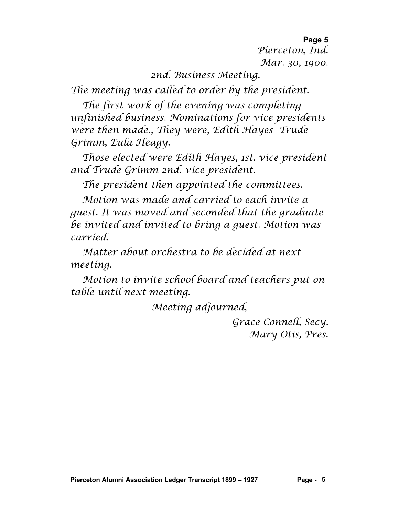**Page 5** *Pierceton, Ind. Mar. 30, 1900.*

*2nd. Business Meeting.*

*The meeting was called to order by the president.*

*The first work of the evening was completing unfinished business. Nominations for vice presidents were then made., They were, Edith Hayes Trude Grimm, Eula Heagy.*

*Those elected were Edith Hayes, 1st. vice president and Trude Grimm 2nd. vice president.*

*The president then appointed the committees.*

*Motion was made and carried to each invite a guest. It was moved and seconded that the graduate be invited and invited to bring a guest. Motion was carried.*

*Matter about orchestra to be decided at next meeting.*

*Motion to invite school board and teachers put on table until next meeting.*

*Meeting adjourned,*

*Grace Connell, Secy. Mary Otis, Pres.*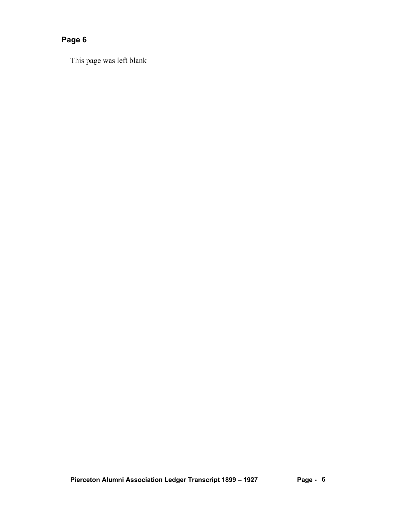This page was left blank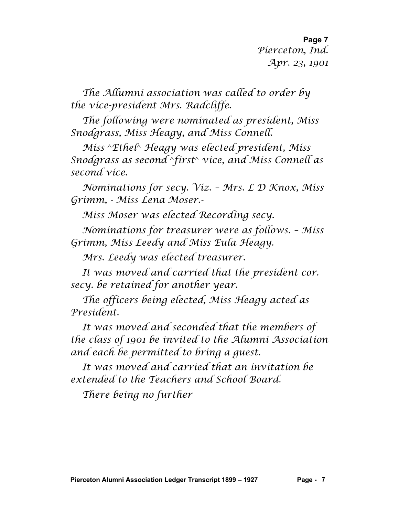**Page 7** *Pierceton, Ind. Apr. 23, 1901*

*The Allumni association was called to order by the vice-president Mrs. Radcliffe.*

*The following were nominated as president, Miss Snodgrass, Miss Heagy, and Miss Connell.*

*Miss* ^*Ethel*^ *Heagy was elected president, Miss Snodgrass as second* ^*first*^ *vice, and Miss Connell as second vice.*

*Nominations for secy. Viz. – Mrs. L D Knox, Miss Grimm, - Miss Lena Moser.-*

*Miss Moser was elected Recording secy.*

*Nominations for treasurer were as follows. – Miss Grimm, Miss Leedy and Miss Eula Heagy.*

*Mrs. Leedy was elected treasurer.*

*It was moved and carried that the president cor. secy. be retained for another year.*

*The officers being elected, Miss Heagy acted as President.*

*It was moved and seconded that the members of the class of 1901 be invited to the Alumni Association and each be permitted to bring a guest.*

*It was moved and carried that an invitation be extended to the Teachers and School Board.*

*There being no further*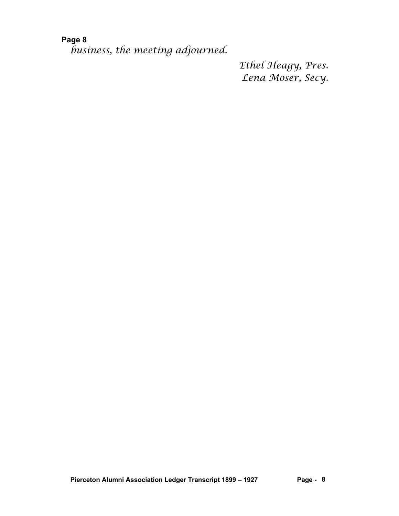*business, the meeting adjourned.*

*Ethel Heagy, Pres. Lena Moser, Secy.*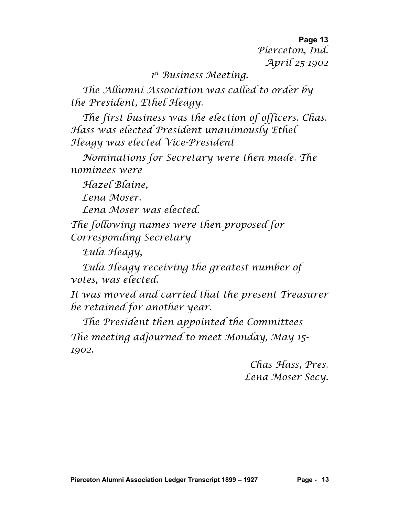**Page 13** *Pierceton, Ind. April 25-1902*

*1st Business Meeting.*

*The Allumni Association was called to order by the President, Ethel Heagy.*

*The first business was the election of officers. Chas. Hass was elected President unanimously Ethel Heagy was elected Vice-President*

*Nominations for Secretary were then made. The nominees were*

*Hazel Blaine,*

*Lena Moser.*

*Lena Moser was elected.*

*The following names were then proposed for Corresponding Secretary*

*Eula Heagy,*

*Eula Heagy receiving the greatest number of votes, was elected.*

*It was moved and carried that the present Treasurer be retained for another year.*

*The President then appointed the Committees The meeting adjourned to meet Monday, May 15- 1902.*

> *Chas Hass, Pres. Lena Moser Secy.*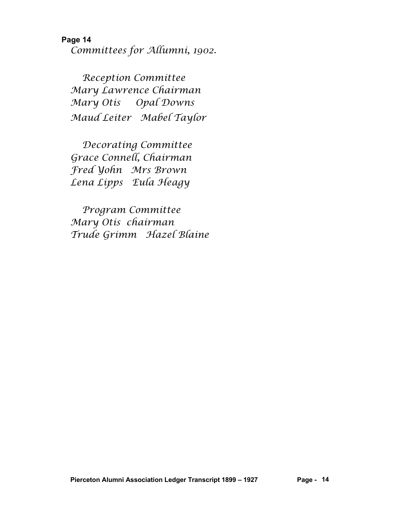**Page 14** *Committees for Allumni, 1902.*

*Reception Committee Mary Lawrence Chairman Mary Otis Opal Downs Maud Leiter Mabel Taylor*

*Decorating Committee Grace Connell, Chairman Fred Yohn Mrs Brown Lena Lipps Eula Heagy*

*Program Committee Mary Otis chairman Trude Grimm Hazel Blaine*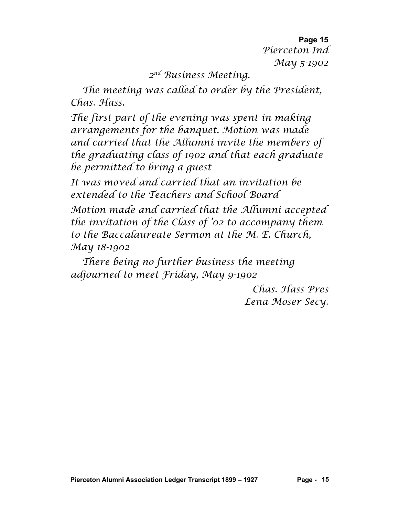**Page 15** *Pierceton Ind May 5-1902*

#### *2nd Business Meeting.*

*The meeting was called to order by the President, Chas. Hass.*

*The first part of the evening was spent in making arrangements for the banquet. Motion was made and carried that the Allumni invite the members of the graduating class of 1902 and that each graduate be permitted to bring a guest*

*It was moved and carried that an invitation be extended to the Teachers and School Board*

*Motion made and carried that the Allumni accepted the invitation of the Class of '02 to accompany them to the Baccalaureate Sermon at the M. E. Church, May 18-1902*

*There being no further business the meeting adjourned to meet Friday, May 9-1902*

> *Chas. Hass Pres Lena Moser Secy.*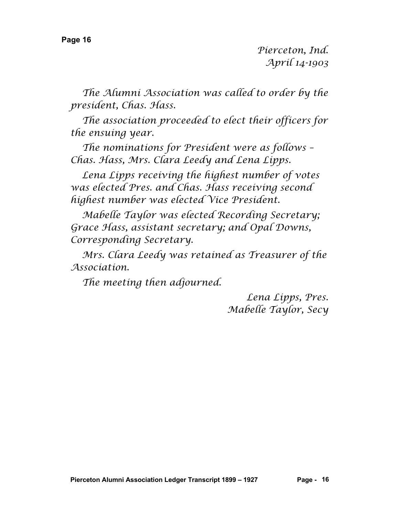*Pierceton, Ind. April 14-1903*

*The Alumni Association was called to order by the president, Chas. Hass.*

*The association proceeded to elect their officers for the ensuing year.*

*The nominations for President were as follows – Chas. Hass, Mrs. Clara Leedy and Lena Lipps.*

*Lena Lipps receiving the highest number of votes was elected Pres. and Chas. Hass receiving second highest number was elected Vice President.*

*Mabelle Taylor was elected Recording Secretary; Grace Hass, assistant secretary; and Opal Downs, Corresponding Secretary.*

*Mrs. Clara Leedy was retained as Treasurer of the Association.*

*The meeting then adjourned.*

*Lena Lipps, Pres. Mabelle Taylor, Secy*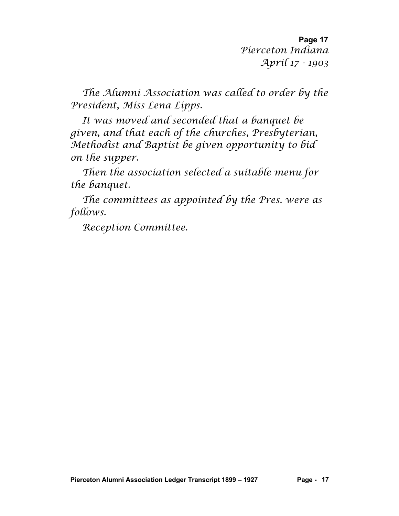**Page 17** *Pierceton Indiana April 17 - 1903*

*The Alumni Association was called to order by the President, Miss Lena Lipps.*

*It was moved and seconded that a banquet be given, and that each of the churches, Presbyterian, Methodist and Baptist be given opportunity to bid on the supper.*

*Then the association selected a suitable menu for the banquet.*

*The committees as appointed by the Pres. were as follows.*

*Reception Committee.*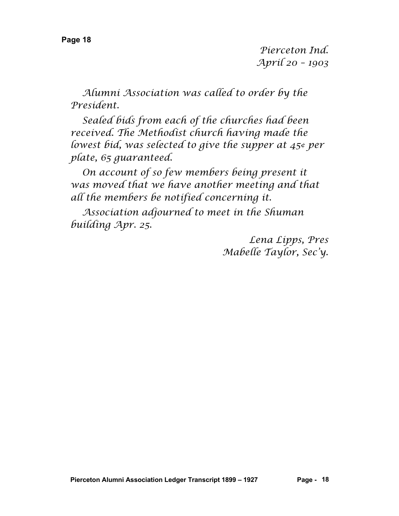*Pierceton Ind. April 20 – 1903*

*Alumni Association was called to order by the President.*

*Sealed bids from each of the churches had been received. The Methodist church having made the lowest bid, was selected to give the supper at 45¢ per plate, 65 guaranteed.*

*On account of so few members being present it was moved that we have another meeting and that all the members be notified concerning it.*

*Association adjourned to meet in the Shuman building Apr. 25.*

> *Lena Lipps, Pres Mabelle Taylor, Sec'y.*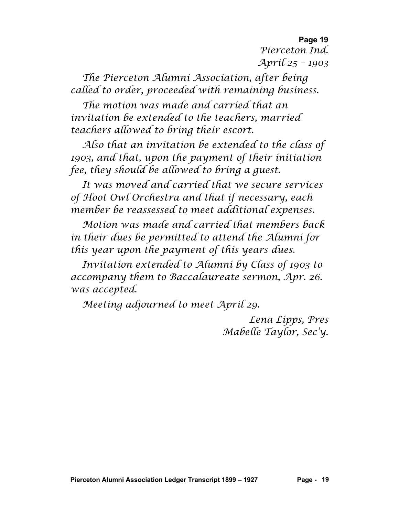**Page 19** *Pierceton Ind. April 25 – 1903*

*The Pierceton Alumni Association, after being called to order, proceeded with remaining business.*

*The motion was made and carried that an invitation be extended to the teachers, married teachers allowed to bring their escort.*

*Also that an invitation be extended to the class of 1903, and that, upon the payment of their initiation fee, they should be allowed to bring a guest.*

*It was moved and carried that we secure services of Hoot Owl Orchestra and that if necessary, each member be reassessed to meet additional expenses.*

*Motion was made and carried that members back in their dues be permitted to attend the Alumni for this year upon the payment of this years dues.*

*Invitation extended to Alumni by Class of 1903 to accompany them to Baccalaureate sermon, Apr. 26. was accepted.*

*Meeting adjourned to meet April 29.*

*Lena Lipps, Pres Mabelle Taylor, Sec'y.*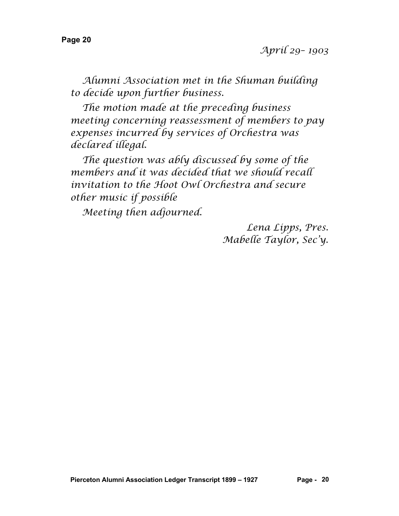*Alumni Association met in the Shuman building to decide upon further business.*

*The motion made at the preceding business meeting concerning reassessment of members to pay expenses incurred by services of Orchestra was declared illegal.*

*The question was ably discussed by some of the members and it was decided that we should recall invitation to the Hoot Owl Orchestra and secure other music if possible*

*Meeting then adjourned.*

*Lena Lipps, Pres. Mabelle Taylor, Sec'y.*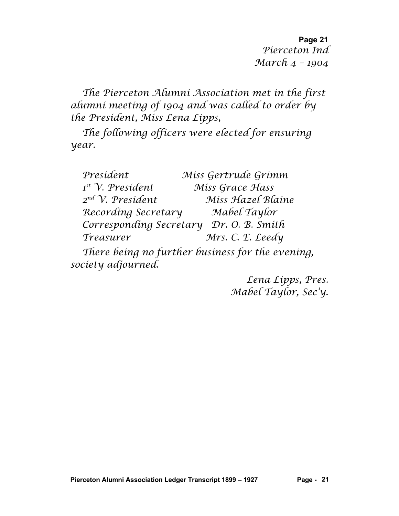**Page 21** *Pierceton Ind March 4 – 1904*

*The Pierceton Alumni Association met in the first alumni meeting of 1904 and was called to order by the President, Miss Lena Lipps,*

*The following officers were elected for ensuring year.*

| President               | Miss Gertrude Grimm |
|-------------------------|---------------------|
| $Ist$ V. President      | Miss Grace Hass     |
| $2^{nd}$ V. President   | Miss Hazel Blaine   |
| Recording Secretary     | Mabel Taylor        |
| Corresponding Secretary | Dr. O. B. Smith     |
| Treasurer               | Mrs. C. E. Leedy    |
|                         |                     |

*There being no further business for the evening, society adjourned.*

> *Lena Lipps, Pres. Mabel Taylor, Sec'y.*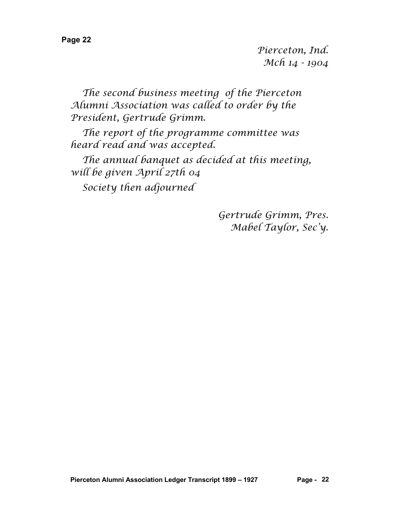*Pierceton, Ind. Mch 14 - 1904*

*The second business meeting of the Pierceton Alumni Association was called to order by the President, Gertrude Grimm.*

*The report of the programme committee was heard read and was accepted.*

*The annual banquet as decided at this meeting, will be given April 27th 04*

*Society then adjourned*

*Gertrude Grimm, Pres. Mabel Taylor, Sec'y.*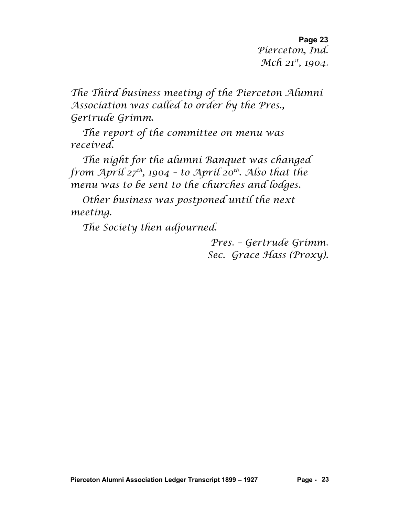**Page 23** *Pierceton, Ind. Mch 21st, 1904.*

*The Third business meeting of the Pierceton Alumni Association was called to order by the Pres., Gertrude Grimm.*

*The report of the committee on menu was received.*

*The night for the alumni Banquet was changed from April 27th, 1904 – to April 20th. Also that the menu was to be sent to the churches and lodges.*

*Other business was postponed until the next meeting.*

*The Society then adjourned.*

*Pres. – Gertrude Grimm. Sec. Grace Hass (Proxy).*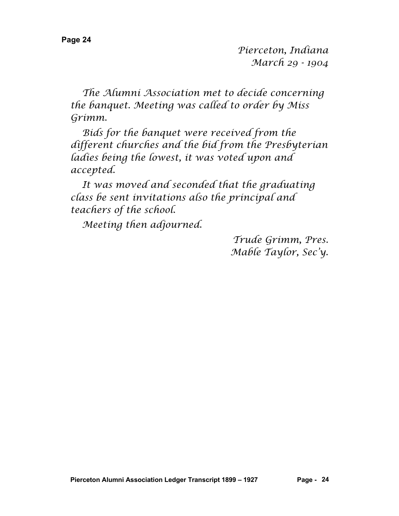*Pierceton, Indiana March 29 - 1904*

*The Alumni Association met to decide concerning the banquet. Meeting was called to order by Miss Grimm.*

*Bids for the banquet were received from the different churches and the bid from the Presbyterian ladies being the lowest, it was voted upon and accepted.*

*It was moved and seconded that the graduating class be sent invitations also the principal and teachers of the school.*

*Meeting then adjourned.*

*Trude Grimm, Pres. Mable Taylor, Sec'y.*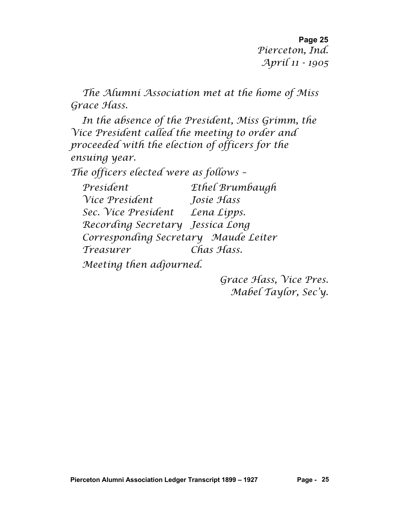**Page 25** *Pierceton, Ind. April 11 - 1905*

*The Alumni Association met at the home of Miss Grace Hass.*

*In the absence of the President, Miss Grimm, the Vice President called the meeting to order and proceeded with the election of officers for the ensuing year.*

*The officers elected were as follows –*

*President Ethel Brumbaugh Vice President Josie Hass Sec. Vice President Lena Lipps. Recording Secretary Jessica Long Corresponding Secretary Maude Leiter Treasurer Chas Hass.*

*Meeting then adjourned.*

*Grace Hass, Vice Pres. Mabel Taylor, Sec'y.*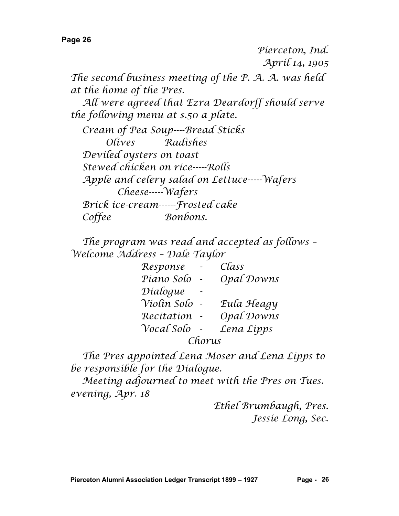*Pierceton, Ind. April 14, 1905*

*The second business meeting of the P. A. A. was held at the home of the Pres.*

*All were agreed that Ezra Deardorff should serve the following menu at \$.50 a plate.*

*Cream of Pea Soup----Bread Sticks Olives Radishes Deviled oysters on toast Stewed chicken on rice-----Rolls Apple and celery salad on Lettuce-----Wafers Cheese-----Wafers Brick ice-cream------Frosted cake Coffee Bonbons.*

*The program was read and accepted as follows – Welcome Address – Dale Taylor*

| Response    |  | Class      |  |  |
|-------------|--|------------|--|--|
| Piano Solo  |  | Opal Downs |  |  |
| Dialogue    |  |            |  |  |
| Violín Solo |  | Eula Heagy |  |  |
| Recitation  |  | Opal Downs |  |  |
| Vocal Solo  |  | Lena Lipps |  |  |
| Chorus      |  |            |  |  |

*The Pres appointed Lena Moser and Lena Lipps to be responsible for the Dialogue.*

*Meeting adjourned to meet with the Pres on Tues. evening, Apr. 18*

> *Ethel Brumbaugh, Pres. Jessie Long, Sec.*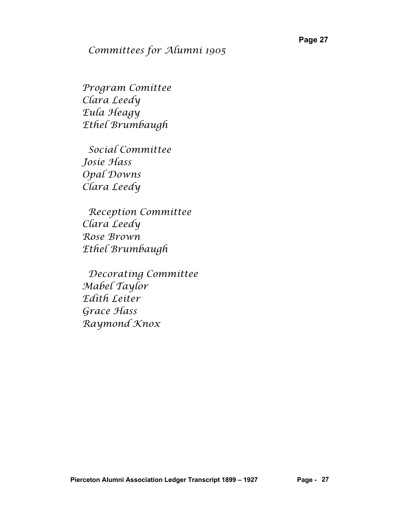#### *Committees for Alumni 1905*

*Program Comittee Clara Leedy Eula Heagy Ethel Brumbaugh*

 *Social Committee Josie Hass Opal Downs Clara Leedy*

 *Reception Committee Clara Leedy Rose Brown Ethel Brumbaugh*

 *Decorating Committee Mabel Taylor Edith Leiter Grace Hass Raymond Knox*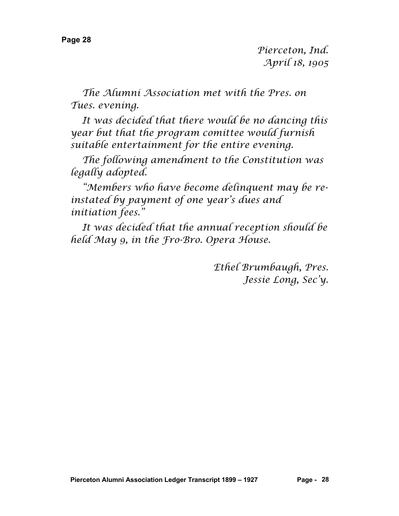*Pierceton, Ind. April 18, 1905*

*The Alumni Association met with the Pres. on Tues. evening.*

*It was decided that there would be no dancing this year but that the program comittee would furnish suitable entertainment for the entire evening.*

*The following amendment to the Constitution was legally adopted.*

*"Members who have become delinquent may be reinstated by payment of one year's dues and initiation fees."*

*It was decided that the annual reception should be held May 9, in the Fro-Bro. Opera House.*

> *Ethel Brumbaugh, Pres. Jessie Long, Sec'y.*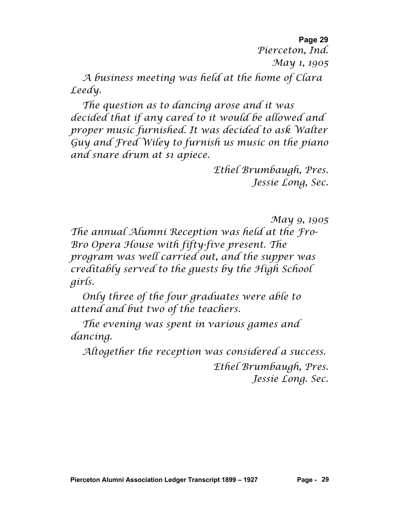**Page 29** *Pierceton, Ind. May 1, 1905*

*A business meeting was held at the home of Clara Leedy.*

*The question as to dancing arose and it was decided that if any cared to it would be allowed and proper music furnished. It was decided to ask Walter Guy and Fred Wiley to furnish us music on the piano and snare drum at \$1 apiece.*

> *Ethel Brumbaugh, Pres. Jessie Long, Sec.*

> > *May 9, 1905*

*The annual Alumni Reception was held at the Fro-Bro Opera House with fifty-five present. The program was well carried out, and the supper was creditably served to the guests by the High School girls.*

*Only three of the four graduates were able to attend and but two of the teachers.*

*The evening was spent in various games and dancing.*

*Altogether the reception was considered a success.*

*Ethel Brumbaugh, Pres. Jessie Long. Sec.*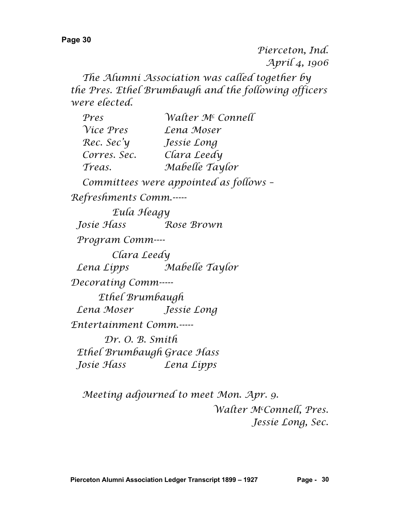*Pierceton, Ind. April 4, 1906*

*The Alumni Association was called together by the Pres. Ethel Brumbaugh and the following officers were elected.*

| Pres                       | Walter M <sup>c</sup> Connell          |  |
|----------------------------|----------------------------------------|--|
| Vice Pres                  | Lena Moser                             |  |
| Rec. Sec'y                 | Jessíe Long                            |  |
| Corres. Sec.               | Clara Leedy                            |  |
| Treas.                     | Mabelle Taylor                         |  |
|                            | Committees were appointed as follows - |  |
| Refreshments Comm.-----    |                                        |  |
| Eula Heagy                 |                                        |  |
| Josíe Hass                 | Rose Brown                             |  |
| Program Comm----           |                                        |  |
| Clara Leedy                |                                        |  |
| Lena Lípps                 | Mabelle Taylor                         |  |
| Decorating Comm-----       |                                        |  |
| Ethel Brumbaugh            |                                        |  |
| Lena Moser                 | Jessie Long                            |  |
| Entertainment Comm.-----   |                                        |  |
| Dr. O. B. Smith            |                                        |  |
| Ethel Brumbaugh Grace Hass |                                        |  |
| Josíe Hass                 | Lena Lipps                             |  |

*Meeting adjourned to meet Mon. Apr. 9. Walter Mc Connell, Pres. Jessie Long, Sec.*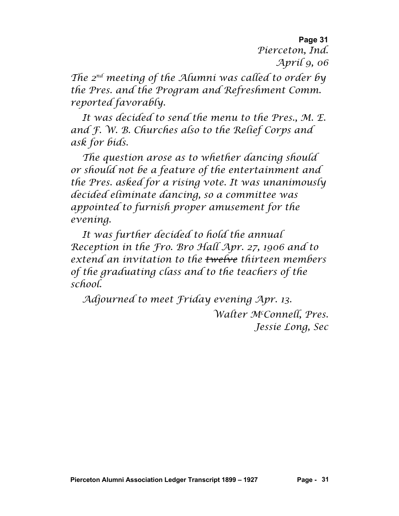**Page 31** *Pierceton, Ind. April 9, 06*

*The 2nd meeting of the Alumni was called to order by the Pres. and the Program and Refreshment Comm. reported favorably.*

*It was decided to send the menu to the Pres., M. E. and F. W. B. Churches also to the Relief Corps and ask for bids.*

*The question arose as to whether dancing should or should not be a feature of the entertainment and the Pres. asked for a rising vote. It was unanimously decided eliminate dancing, so a committee was appointed to furnish proper amusement for the evening.*

*It was further decided to hold the annual Reception in the Fro. Bro Hall Apr. 27, 1906 and to extend an invitation to the twelve thirteen members of the graduating class and to the teachers of the school.*

*Adjourned to meet Friday evening Apr. 13. Walter Mc Connell, Pres. Jessie Long, Sec*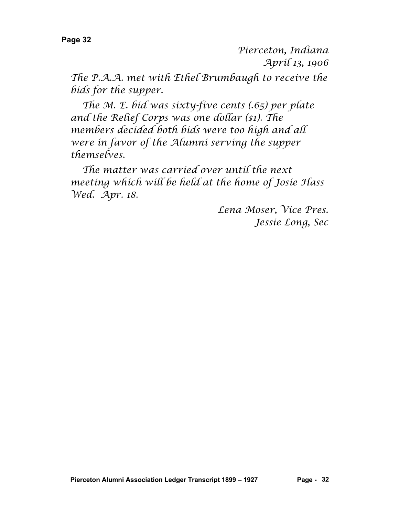*Pierceton, Indiana April 13, 1906*

*The P.A.A. met with Ethel Brumbaugh to receive the bids for the supper.*

*The M. E. bid was sixty-five cents (.65) per plate and the Relief Corps was one dollar (\$1). The members decided both bids were too high and all were in favor of the Alumni serving the supper themselves.*

*The matter was carried over until the next meeting which will be held at the home of Josie Hass Wed. Apr. 18.*

> *Lena Moser, Vice Pres. Jessie Long, Sec*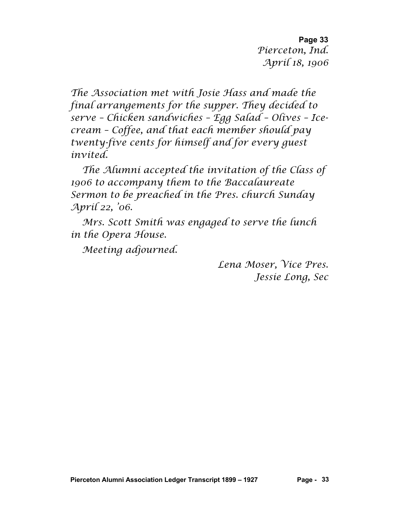**Page 33** *Pierceton, Ind. April 18, 1906*

*The Association met with Josie Hass and made the final arrangements for the supper. They decided to serve – Chicken sandwiches – Egg Salad – Olives – Icecream – Coffee, and that each member should pay twenty-five cents for himself and for every guest invited.*

*The Alumni accepted the invitation of the Class of 1906 to accompany them to the Baccalaureate Sermon to be preached in the Pres. church Sunday April 22, '06.*

*Mrs. Scott Smith was engaged to serve the lunch in the Opera House.*

*Meeting adjourned.*

*Lena Moser, Vice Pres. Jessie Long, Sec*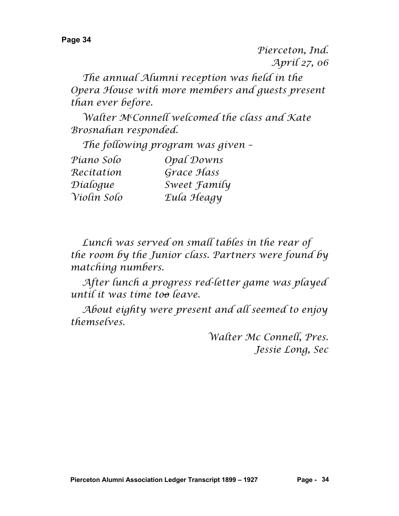*Pierceton, Ind. April 27, 06*

*The annual Alumni reception was held in the Opera House with more members and guests present than ever before.*

*Walter Mc Connell welcomed the class and Kate Brosnahan responded.*

*The following program was given –*

| Piano Solo  | Opal Downs          |
|-------------|---------------------|
| Recitation  | Grace Hass          |
| Díalogue    | Sweet <i>Family</i> |
| Violín Solo | Eula Heagy          |

*Lunch was served on small tables in the rear of the room by the Junior class. Partners were found by matching numbers.*

*After lunch a progress red-letter game was played until it was time too leave.*

*About eighty were present and all seemed to enjoy themselves.*

> *Walter Mc Connell, Pres. Jessie Long, Sec*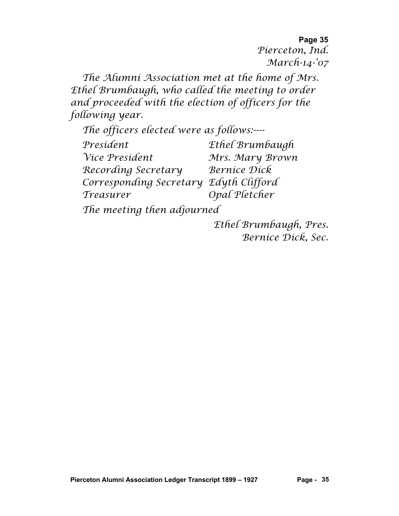**Page 35** *Pierceton, Ind. March-14-'07*

*The Alumni Association met at the home of Mrs. Ethel Brumbaugh, who called the meeting to order and proceeded with the election of officers for the following year.*

*The officers elected were as follows:---- President Ethel Brumbaugh Vice President Mrs. Mary Brown Recording Secretary Bernice Dick Corresponding Secretary Edyth Clifford Treasurer Opal Pletcher*

*The meeting then adjourned*

*Ethel Brumbaugh, Pres. Bernice Dick, Sec.*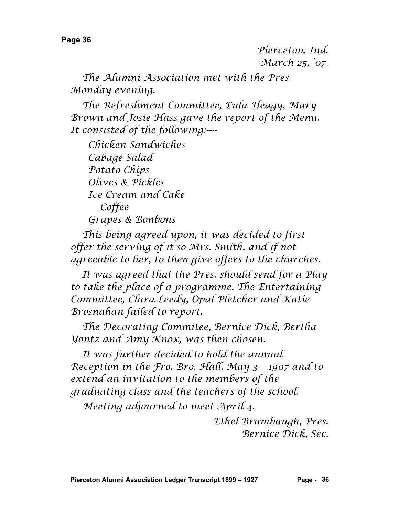*The Alumni Association met with the Pres. Monday evening.*

*The Refreshment Committee, Eula Heagy, Mary Brown and Josie Hass gave the report of the Menu. It consisted of the following:----*

 *Chicken Sandwiches Cabage Salad Potato Chips Olives & Pickles Ice Cream and Cake Coffee Grapes & Bonbons*

*This being agreed upon, it was decided to first offer the serving of it so Mrs. Smith, and if not agreeable to her, to then give offers to the churches.*

*It was agreed that the Pres. should send for a Play to take the place of a programme. The Entertaining Committee, Clara Leedy, Opal Pletcher and Katie Brosnahan failed to report.*

*The Decorating Commitee, Bernice Dick, Bertha Yontz and Amy Knox, was then chosen.*

*It was further decided to hold the annual Reception in the Fro. Bro. Hall, May 3 – 1907 and to extend an invitation to the members of the graduating class and the teachers of the school.*

*Meeting adjourned to meet April 4.*

*Ethel Brumbaugh, Pres. Bernice Dick, Sec.*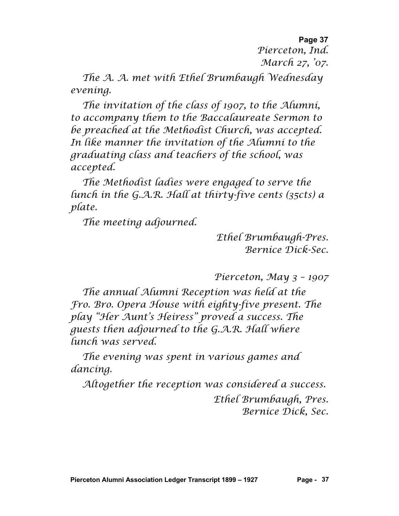**Page 37** *Pierceton, Ind. March 27, '07.*

*The A. A. met with Ethel Brumbaugh Wednesday evening.*

*The invitation of the class of 1907, to the Alumni, to accompany them to the Baccalaureate Sermon to be preached at the Methodist Church, was accepted. In like manner the invitation of the Alumni to the graduating class and teachers of the school, was accepted.*

*The Methodist ladies were engaged to serve the lunch in the G.A.R. Hall at thirty-five cents (35cts) a plate.*

*The meeting adjourned.*

*Ethel Brumbaugh-Pres. Bernice Dick-Sec.*

*Pierceton, May 3 – 1907*

*The annual Alumni Reception was held at the Fro. Bro. Opera House with eighty-five present. The play "Her Aunt's Heiress" proved a success. The guests then adjourned to the G.A.R. Hall where lunch was served.*

*The evening was spent in various games and dancing.*

*Altogether the reception was considered a success.*

*Ethel Brumbaugh, Pres. Bernice Dick, Sec.*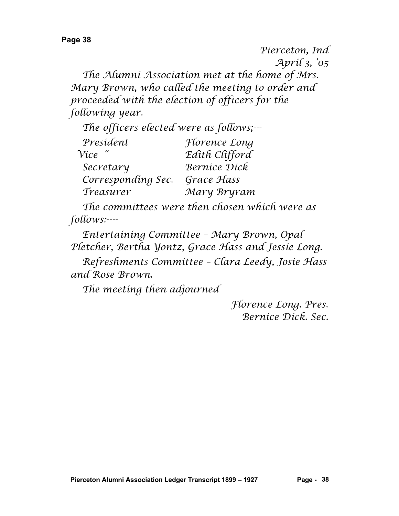*Pierceton, Ind April 3, '05 The Alumni Association met at the home of Mrs. Mary Brown, who called the meeting to order and proceeded with the election of officers for the following year.*

*The officers elected were as follows;---*

| President          | <i>Florence Long</i> |
|--------------------|----------------------|
| $\gamma$ ice "     | Edith Clifford       |
| Secretary          | Bernice Dick         |
| Corresponding Sec. | Grace Hass           |
| Treasurer          | Mary Bryram          |

*The committees were then chosen which were as follows:----*

*Entertaining Committee – Mary Brown, Opal Pletcher, Bertha Yontz, Grace Hass and Jessie Long.*

*Refreshments Committee – Clara Leedy, Josie Hass and Rose Brown.*

*The meeting then adjourned*

*Florence Long. Pres. Bernice Dick. Sec.*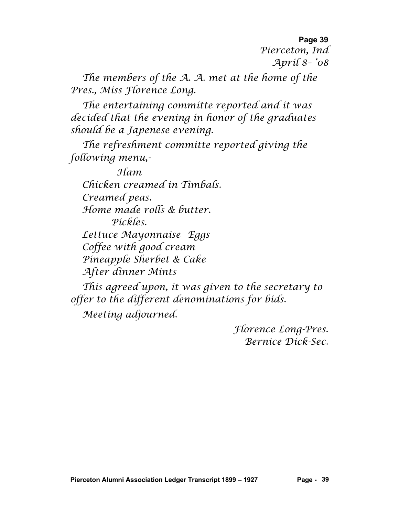**Page 39** *Pierceton, Ind April 8– '08*

*The members of the A. A. met at the home of the Pres., Miss Florence Long.*

*The entertaining committe reported and it was decided that the evening in honor of the graduates should be a Japenese evening.*

*The refreshment committe reported giving the following menu,-*

*Ham Chicken creamed in Timbals. Creamed peas. Home made rolls & butter. Pickles. Lettuce Mayonnaise Eggs Coffee with good cream Pineapple Sherbet & Cake After dinner Mints*

*This agreed upon, it was given to the secretary to offer to the different denominations for bids. Meeting adjourned.*

> *Florence Long-Pres. Bernice Dick-Sec.*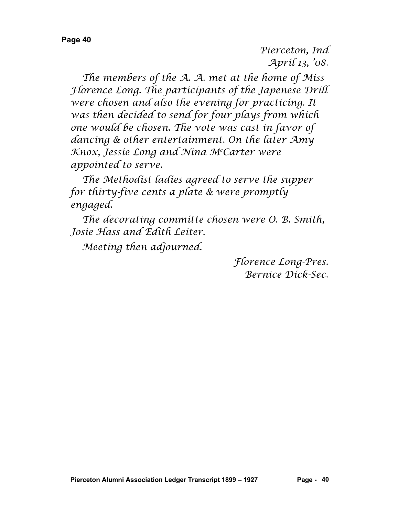*Pierceton, Ind April 13, '08.*

*The members of the A. A. met at the home of Miss Florence Long. The participants of the Japenese Drill were chosen and also the evening for practicing. It was then decided to send for four plays from which one would be chosen. The vote was cast in favor of dancing & other entertainment. On the later Amy Knox, Jessie Long and Nina Mc Carter were appointed to serve.*

*The Methodist ladies agreed to serve the supper for thirty-five cents a plate & were promptly engaged.*

*The decorating committe chosen were O. B. Smith, Josie Hass and Edith Leiter.*

*Meeting then adjourned.*

*Florence Long-Pres. Bernice Dick-Sec.*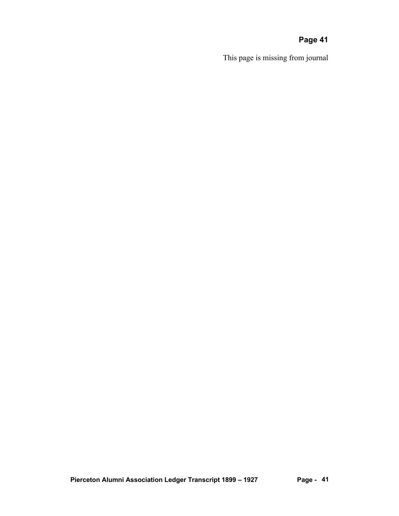This page is missing from journal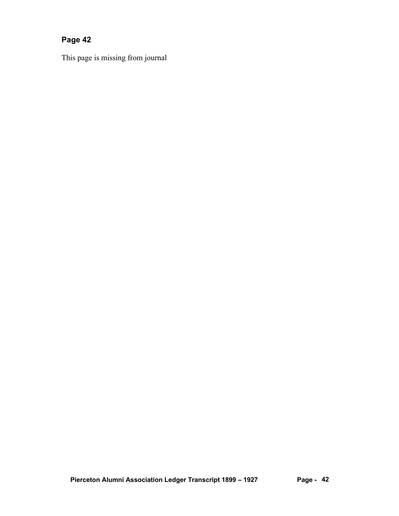This page is missing from journal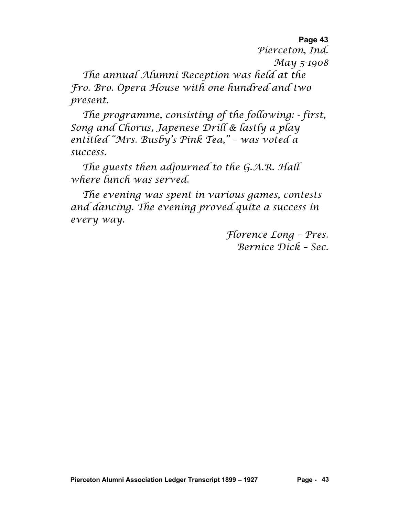*Pierceton, Ind. May 5-1908*

*The annual Alumni Reception was held at the Fro. Bro. Opera House with one hundred and two present.*

*The programme, consisting of the following: - first, Song and Chorus, Japenese Drill & lastly a play entitled "Mrs. Busby's Pink Tea," – was voted a success.*

*The guests then adjourned to the G.A.R. Hall where lunch was served.*

*The evening was spent in various games, contests and dancing. The evening proved quite a success in every way.*

> *Florence Long – Pres. Bernice Dick – Sec.*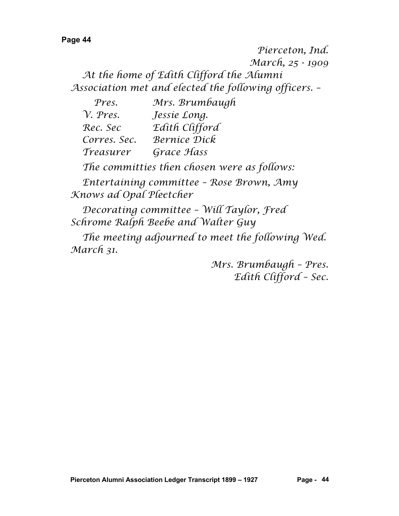*Pierceton, Ind. March, 25 - 1909 At the home of Edith Clifford the Alumni Association met and elected the following officers. –*

| Pres.            | Mrs. Brumbaugh      |
|------------------|---------------------|
| $\gamma$ . Pres. | Jessie Long.        |
| Rec. Sec         | Edith Clifford      |
| Corres. Sec.     | <b>Bernice Dick</b> |
| Treasurer        | Grace Hass          |

*The committies then chosen were as follows:*

*Entertaining committee – Rose Brown, Amy Knows ad Opal Plectcher*

*Decorating committee – Will Taylor, Fred Schrome Ralph Beebe and Walter Guy*

*The meeting adjourned to meet the following Wed. March 31.*

> *Mrs. Brumbaugh – Pres. Edith Clifford – Sec.*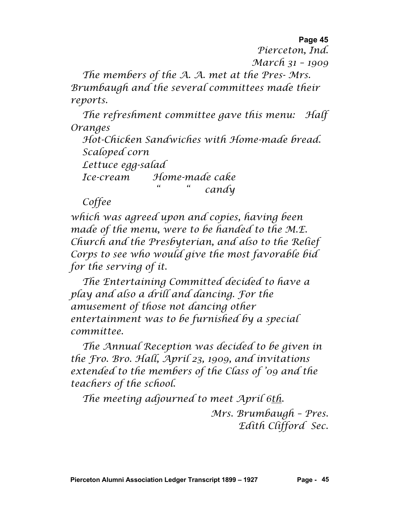*Pierceton, Ind.*

*March 31 – 1909*

*The members of the A. A. met at the Pres- Mrs. Brumbaugh and the several committees made their reports.*

*The refreshment committee gave this menu: Half Oranges*

*Hot-Chicken Sandwiches with Home-made bread. Scaloped corn*

*Lettuce egg-salad*

*Ice-cream Home-made cake " " candy*

*Coffee*

*which was agreed upon and copies, having been made of the menu, were to be handed to the M.E. Church and the Presbyterian, and also to the Relief Corps to see who would give the most favorable bid for the serving of it.*

*The Entertaining Committed decided to have a play and also a drill and dancing. For the amusement of those not dancing other entertainment was to be furnished by a special committee.*

*The Annual Reception was decided to be given in the Fro. Bro. Hall, April 23, 1909, and invitations extended to the members of the Class of '09 and the teachers of the school.*

*The meeting adjourned to meet April 6th.*

*Mrs. Brumbaugh – Pres. Edith Clifford Sec.*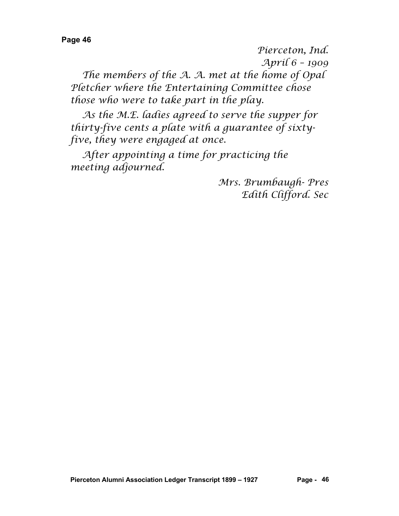*Pierceton, Ind. April 6 – 1909*

*The members of the A. A. met at the home of Opal Pletcher where the Entertaining Committee chose those who were to take part in the play.*

*As the M.E. ladies agreed to serve the supper for thirty-five cents a plate with a guarantee of sixtyfive, they were engaged at once.*

*After appointing a time for practicing the meeting adjourned.*

> *Mrs. Brumbaugh- Pres Edith Clifford. Sec*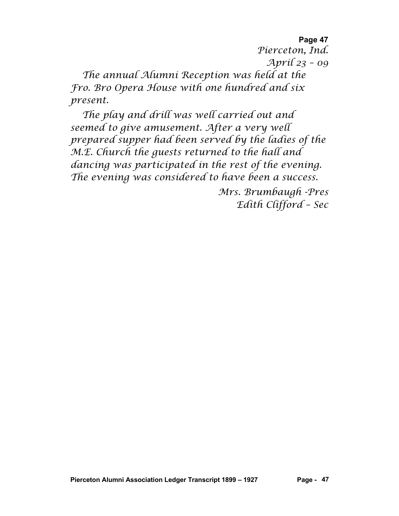**Page 47** *Pierceton, Ind. April 23 – 09 The annual Alumni Reception was held at the Fro. Bro Opera House with one hundred and six present.*

*The play and drill was well carried out and seemed to give amusement. After a very well prepared supper had been served by the ladies of the M.E. Church the guests returned to the hall and dancing was participated in the rest of the evening. The evening was considered to have been a success.*

> *Mrs. Brumbaugh -Pres Edith Clifford – Sec*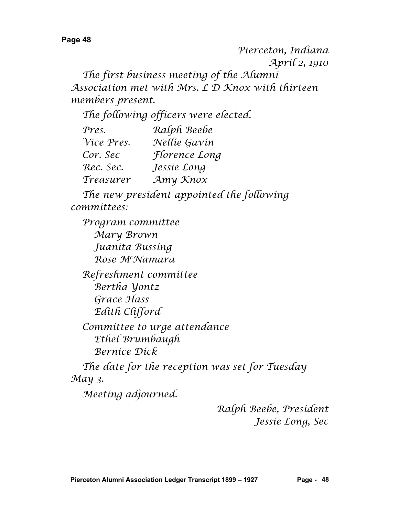*Pierceton, Indiana April 2, 1910 The first business meeting of the Alumni Association met with Mrs. L D Knox with thirteen members present.*

*The following officers were elected.*

| Pres.      | Ralph Beebe   |
|------------|---------------|
| Vice Pres. | Nellie Gavin  |
| Cor. Sec   | Florence Long |
| Rec. Sec.  | Jessie Long   |
| Treasurer  | Amy Knox      |

*The new president appointed the following committees:*

*Program committee Mary Brown Juanita Bussing Rose Mc Namara Refreshment committee Bertha Yontz Grace Hass Edith Clifford Committee to urge attendance Ethel Brumbaugh Bernice Dick*

*The date for the reception was set for Tuesday May 3.*

*Meeting adjourned.*

*Ralph Beebe, President Jessie Long, Sec*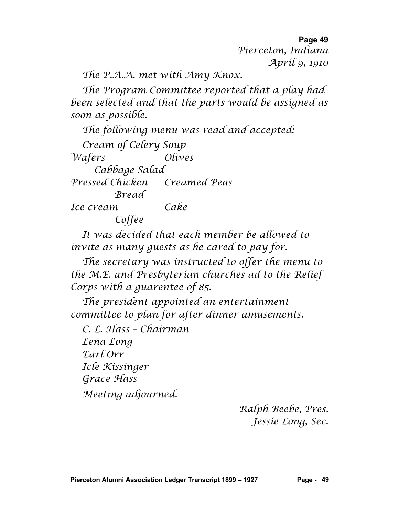**Page 49** *Pierceton, Indiana April 9, 1910*

*The P.A.A. met with Amy Knox.*

*The Program Committee reported that a play had been selected and that the parts would be assigned as soon as possible.*

*The following menu was read and accepted: Cream of Celery Soup Wafers Olives Cabbage Salad Pressed Chicken Creamed Peas Bread Ice cream Cake Coffee*

*It was decided that each member be allowed to invite as many guests as he cared to pay for.*

*The secretary was instructed to offer the menu to the M.E. and Presbyterian churches ad to the Relief Corps with a guarentee of 85.*

*The president appointed an entertainment committee to plan for after dinner amusements.*

*C. L. Hass – Chairman Lena Long Earl Orr Icle Kissinger Grace Hass Meeting adjourned.*

> *Ralph Beebe, Pres. Jessie Long, Sec.*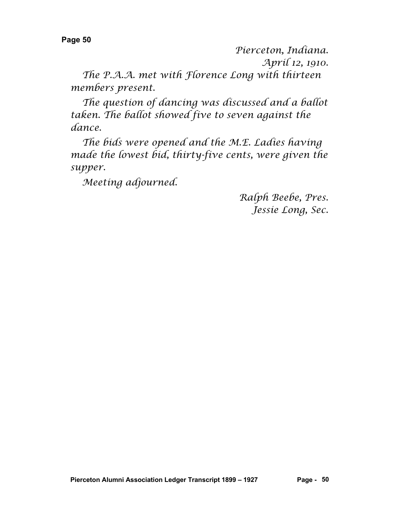*Pierceton, Indiana.*

*April 12, 1910.*

*The P.A.A. met with Florence Long with thirteen members present.*

*The question of dancing was discussed and a ballot taken. The ballot showed five to seven against the dance.*

*The bids were opened and the M.E. Ladies having made the lowest bid, thirty-five cents, were given the supper.*

*Meeting adjourned.*

*Ralph Beebe, Pres. Jessie Long, Sec.*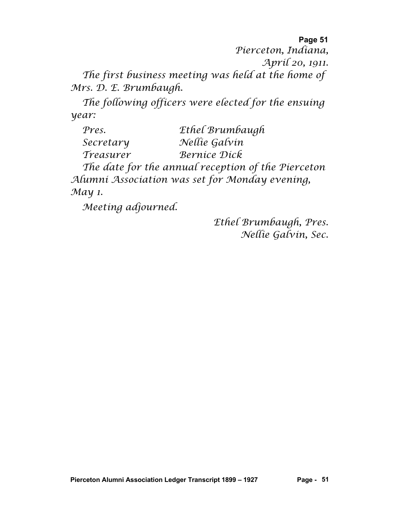**Page 51** *Pierceton, Indiana, April 20, 1911. The first business meeting was held at the home of* 

*Mrs. D. E. Brumbaugh.*

*The following officers were elected for the ensuing year:*

| Pres.     | Ethel Brumbaugh                                    |
|-----------|----------------------------------------------------|
| Secretary | Nellie Galvin                                      |
| Treasurer | Bernice Dick                                       |
|           | The date for the annual reception of the Pierceton |

*Alumni Association was set for Monday evening, May 1.*

*Meeting adjourned.*

*Ethel Brumbaugh, Pres. Nellie Galvin, Sec.*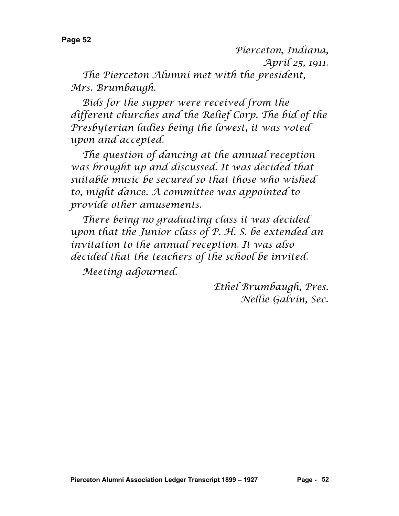*Pierceton, Indiana,*

*April 25, 1911.*

*The Pierceton Alumni met with the president, Mrs. Brumbaugh.*

*Bids for the supper were received from the different churches and the Relief Corp. The bid of the Presbyterian ladies being the lowest, it was voted upon and accepted.*

*The question of dancing at the annual reception was brought up and discussed. It was decided that suitable music be secured so that those who wished to, might dance. A committee was appointed to provide other amusements.*

*There being no graduating class it was decided upon that the Junior class of P. H. S. be extended an invitation to the annual reception. It was also decided that the teachers of the school be invited.*

*Meeting adjourned.*

*Ethel Brumbaugh, Pres. Nellie Galvin, Sec.*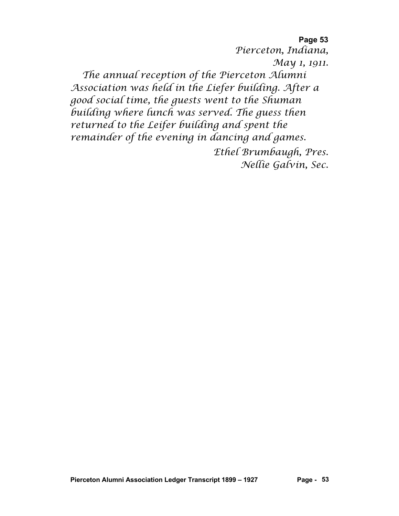**Page 53** *Pierceton, Indiana, May 1, 1911. The annual reception of the Pierceton Alumni Association was held in the Liefer building. After a good social time, the guests went to the Shuman building where lunch was served. The guess then returned to the Leifer building and spent the remainder of the evening in dancing and games.*

*Ethel Brumbaugh, Pres. Nellie Galvin, Sec.*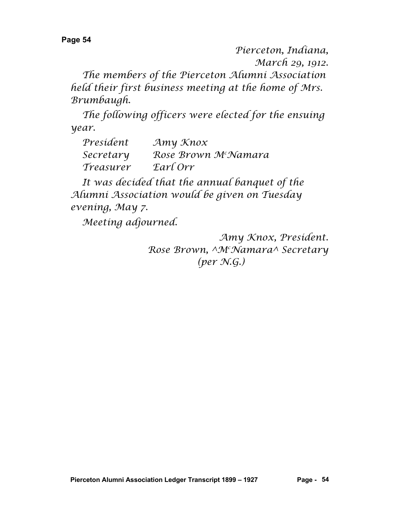*Pierceton, Indiana, March 29, 1912.*

*The members of the Pierceton Alumni Association held their first business meeting at the home of Mrs. Brumbaugh.*

*The following officers were elected for the ensuing year.*

| Presídent | $\mathcal{A}$ my $\mathcal{K}$ nox |
|-----------|------------------------------------|
| Secretary | Rose Brown M <sup>c</sup> Namara   |
| Treasurer | Earl Orr                           |

*It was decided that the annual banquet of the Alumni Association would be given on Tuesday evening, May 7.*

*Meeting adjourned.*

*Amy Knox, President. Rose Brown, ^Mc Namara^ Secretary (per N.G.)*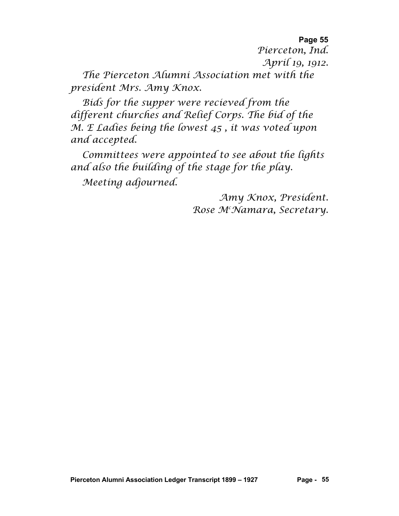*Pierceton, Ind. April 19, 1912.*

*The Pierceton Alumni Association met with the president Mrs. Amy Knox.*

*Bids for the supper were recieved from the different churches and Relief Corps. The bid of the M. E Ladies being the lowest 45 , it was voted upon and accepted.*

*Committees were appointed to see about the lights and also the building of the stage for the play. Meeting adjourned.*

> *Amy Knox, President. Rose Mc Namara, Secretary.*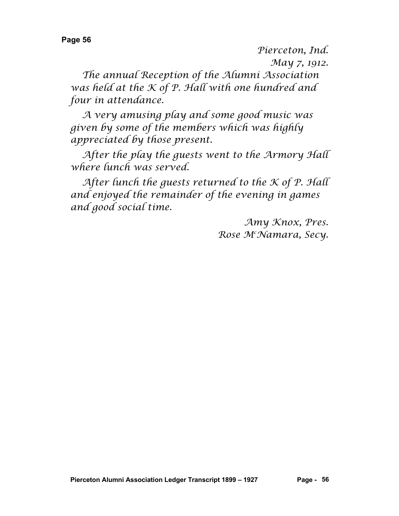*Pierceton, Ind.*

*May 7, 1912.*

*The annual Reception of the Alumni Association was held at the K of P. Hall with one hundred and four in attendance.*

*A very amusing play and some good music was given by some of the members which was highly appreciated by those present.*

*After the play the guests went to the Armory Hall where lunch was served.*

*After lunch the guests returned to the K of P. Hall and enjoyed the remainder of the evening in games and good social time.*

> *Amy Knox, Pres. Rose Mc Namara, Secy.*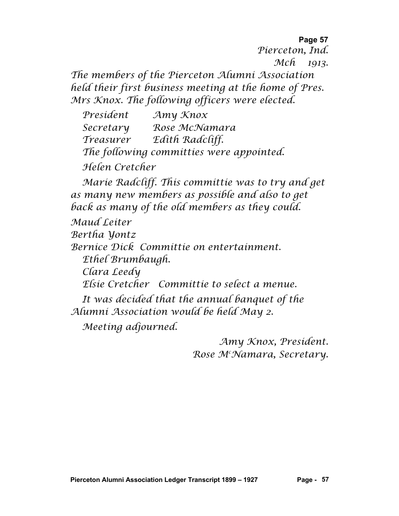**Page 57** *Pierceton, Ind. Mch 1913. The members of the Pierceton Alumni Association held their first business meeting at the home of Pres. Mrs Knox. The following officers were elected.*

*President Amy Knox Secretary Rose McNamara Treasurer Edith Radcliff. The following committies were appointed. Helen Cretcher*

*Marie Radcliff. This committie was to try and get as many new members as possible and also to get back as many of the old members as they could.*

*Maud Leiter*

*Bertha Yontz*

*Bernice Dick Committie on entertainment.*

*Ethel Brumbaugh.*

*Clara Leedy*

*Elsie Cretcher Committie to select a menue.*

*It was decided that the annual banquet of the Alumni Association would be held May 2.*

*Meeting adjourned.*

*Amy Knox, President. Rose Mc Namara, Secretary.*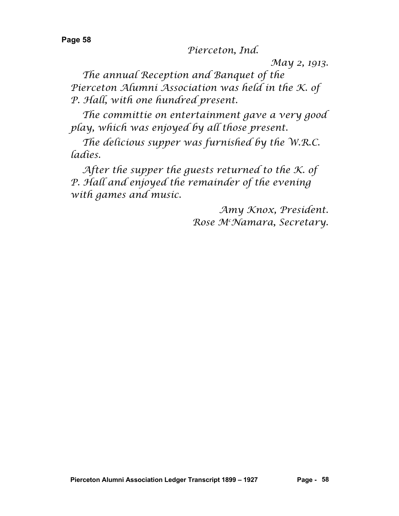*Pierceton, Ind.*

*May 2, 1913.*

*The annual Reception and Banquet of the Pierceton Alumni Association was held in the K. of P. Hall, with one hundred present.*

*The committie on entertainment gave a very good play, which was enjoyed by all those present.*

*The delicious supper was furnished by the W.R.C. ladies.*

*After the supper the guests returned to the K. of P. Hall and enjoyed the remainder of the evening with games and music.*

> *Amy Knox, President. Rose Mc Namara, Secretary.*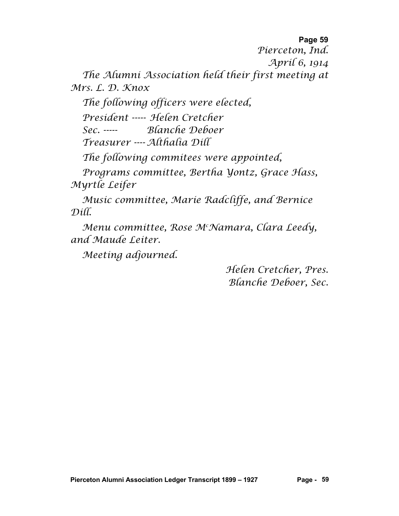*Pierceton, Ind.*

*April 6, 1914*

*The Alumni Association held their first meeting at Mrs. L. D. Knox*

*The following officers were elected,*

*President ----- Helen Cretcher*

*Sec. ----- Blanche Deboer Treasurer ---- Althalia Dill*

*The following commitees were appointed,*

*Programs committee, Bertha Yontz, Grace Hass, Myrtle Leifer*

*Music committee, Marie Radcliffe, and Bernice Dill.*

*Menu committee, Rose Mc Namara, Clara Leedy, and Maude Leiter.*

*Meeting adjourned.*

*Helen Cretcher, Pres. Blanche Deboer, Sec.*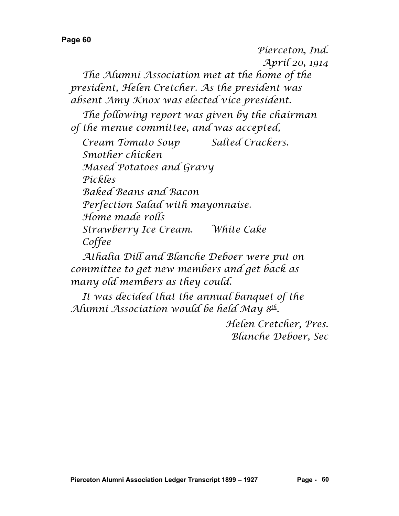*Pierceton, Ind. April 20, 1914*

*The Alumni Association met at the home of the president, Helen Cretcher. As the president was absent Amy Knox was elected vice president.*

*The following report was given by the chairman of the menue committee, and was accepted,*

*Cream Tomato Soup Salted Crackers. Smother chicken Mased Potatoes and Gravy Pickles Baked Beans and Bacon Perfection Salad with mayonnaise. Home made rolls Strawberry Ice Cream. White Cake Coffee*

*Athalia Dill and Blanche Deboer were put on committee to get new members and get back as many old members as they could.*

*It was decided that the annual banquet of the Alumni Association would be held May 8th.*

> *Helen Cretcher, Pres. Blanche Deboer, Sec*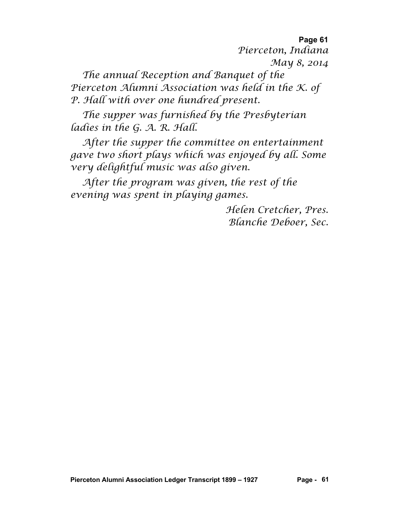**Page 61** *Pierceton, Indiana May 8, 2014*

*The annual Reception and Banquet of the Pierceton Alumni Association was held in the K. of P. Hall with over one hundred present.*

*The supper was furnished by the Presbyterian ladies in the G. A. R. Hall.*

*After the supper the committee on entertainment gave two short plays which was enjoyed by all. Some very delightful music was also given.*

*After the program was given, the rest of the evening was spent in playing games.*

> *Helen Cretcher, Pres. Blanche Deboer, Sec.*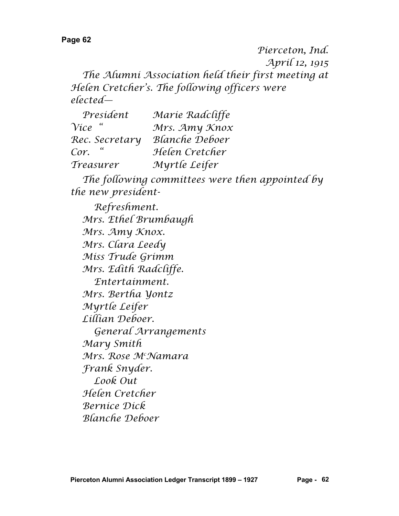*Pierceton, Ind. April 12, 1915 The Alumni Association held their first meeting at Helen Cretcher's. The following officers were elected—*

| President      | Marie Radcliffe       |
|----------------|-----------------------|
| $\gamma$ ice " | Mrs. Amy Knox         |
| Rec. Secretary | <b>Blanche Deboer</b> |
| Cor.           | Helen Cretcher        |
| Treasurer      | Myrtle Leifer         |

*The following committees were then appointed by the new president-*

*Refreshment. Mrs. Ethel Brumbaugh Mrs. Amy Knox. Mrs. Clara Leedy Miss Trude Grimm Mrs. Edith Radcliffe. Entertainment. Mrs. Bertha Yontz Myrtle Leifer Lillian Deboer. General Arrangements Mary Smith Mrs. Rose Mc Namara Frank Snyder. Look Out Helen Cretcher Bernice Dick Blanche Deboer*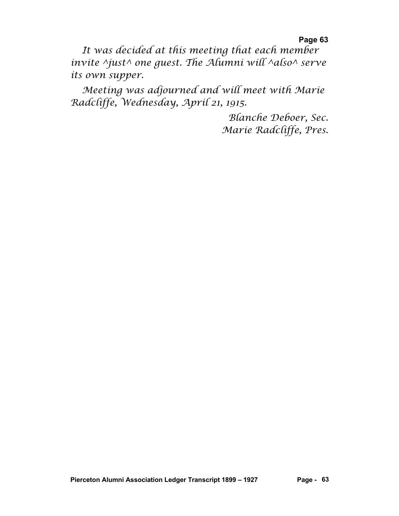**Page 63** *It was decided at this meeting that each member invite ^just^ one guest. The Alumni will ^also^ serve its own supper.*

*Meeting was adjourned and will meet with Marie Radcliffe, Wednesday, April 21, 1915.*

> *Blanche Deboer, Sec. Marie Radcliffe, Pres.*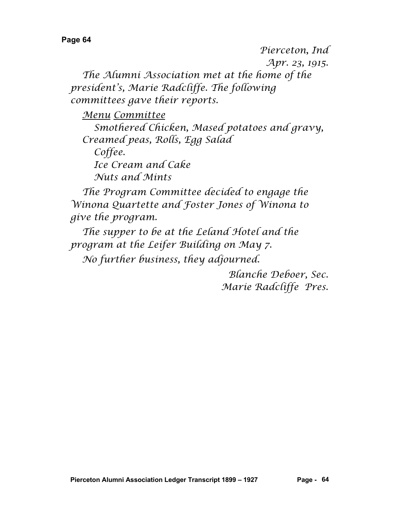*Pierceton, Ind Apr. 23, 1915.*

*The Alumni Association met at the home of the president's, Marie Radcliffe. The following committees gave their reports.*

*Menu Committee*

*Smothered Chicken, Mased potatoes and gravy, Creamed peas, Rolls, Egg Salad Coffee. Ice Cream and Cake*

*Nuts and Mints*

*The Program Committee decided to engage the Winona Quartette and Foster Jones of Winona to give the program.*

*The supper to be at the Leland Hotel and the program at the Leifer Building on May 7.*

*No further business, they adjourned.*

*Blanche Deboer, Sec. Marie Radcliffe Pres.*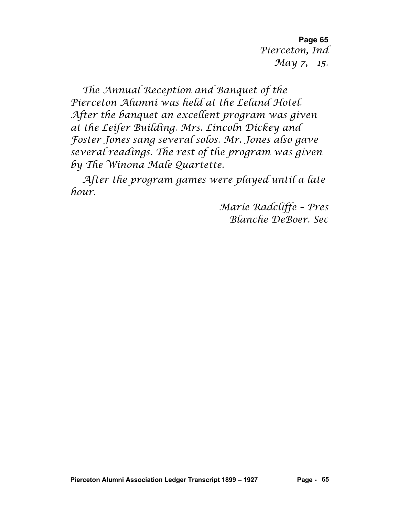**Page 65** *Pierceton, Ind May 7, 15.*

*The Annual Reception and Banquet of the Pierceton Alumni was held at the Leland Hotel. After the banquet an excellent program was given at the Leifer Building. Mrs. Lincoln Dickey and Foster Jones sang several solos. Mr. Jones also gave several readings. The rest of the program was given by The Winona Male Quartette.*

*After the program games were played until a late hour.*

> *Marie Radcliffe – Pres Blanche DeBoer. Sec*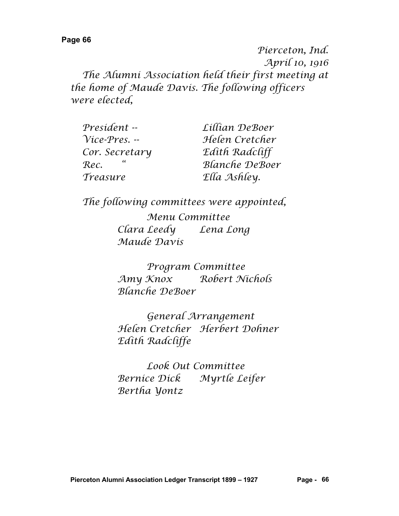*Pierceton, Ind. April 10, 1916 The Alumni Association held their first meeting at the home of Maude Davis. The following officers were elected,*

| President --          | Lillian DeBoer        |
|-----------------------|-----------------------|
| $Vice\text{-}Pres. -$ | Helen Cretcher        |
| Cor. Secretary        | Edith Radcliff        |
| Rec.                  | <b>Blanche DeBoer</b> |
| Treasure              | Ella Ashley.          |

*The following committees were appointed,*

*Menu Committee Clara Leedy Lena Long Maude Davis*

*Program Committee Amy Knox Robert Nichols Blanche DeBoer*

*General Arrangement Helen Cretcher Herbert Dohner Edith Radcliffe*

*Look Out Committee Bernice Dick Myrtle Leifer Bertha Yontz*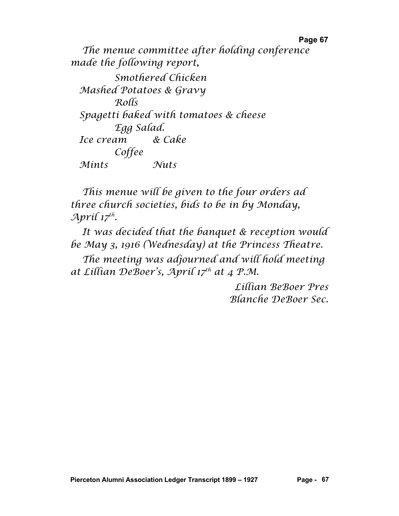*The menue committee after holding conference made the following report, Smothered Chicken Mashed Potatoes & Gravy Rolls Spagetti baked with tomatoes & cheese Egg Salad. Ice cream & Cake Coffee Mints Nuts*

*This menue will be given to the four orders ad three church societies, bids to be in by Monday, April 17th.*

*It was decided that the banquet & reception would be May 3, 1916 (Wednesday) at the Princess Theatre.*

*The meeting was adjourned and will hold meeting at Lillian DeBoer's, April 17th at 4 P.M.*

> *Lillian BeBoer Pres Blanche DeBoer Sec.*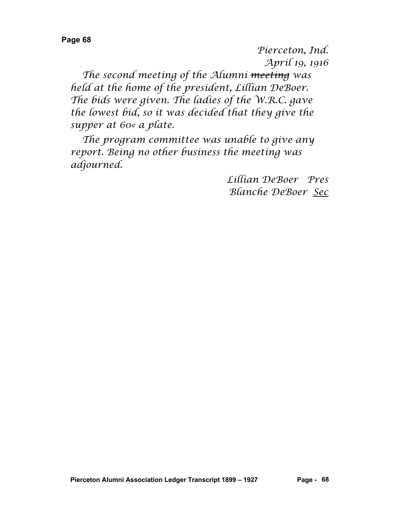*Pierceton, Ind. April 19, 1916*

*The second meeting of the Alumni meeting was held at the home of the president, Lillian DeBoer. The bids were given. The ladies of the W.R.C. gave the lowest bid, so it was decided that they give the supper at 60¢ a plate.*

*The program committee was unable to give any report. Being no other business the meeting was adjourned.*

> *Lillian DeBoer Pres Blanche DeBoer Sec*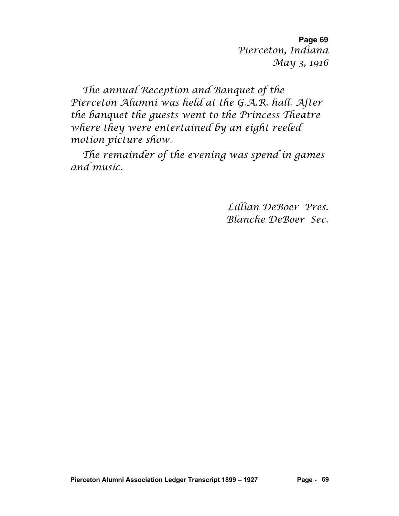**Page 69** *Pierceton, Indiana May 3, 1916*

*The annual Reception and Banquet of the Pierceton Alumni was held at the G.A.R. hall. After the banquet the guests went to the Princess Theatre where they were entertained by an eight reeled motion picture show.*

*The remainder of the evening was spend in games and music.*

> *Lillian DeBoer Pres. Blanche DeBoer Sec.*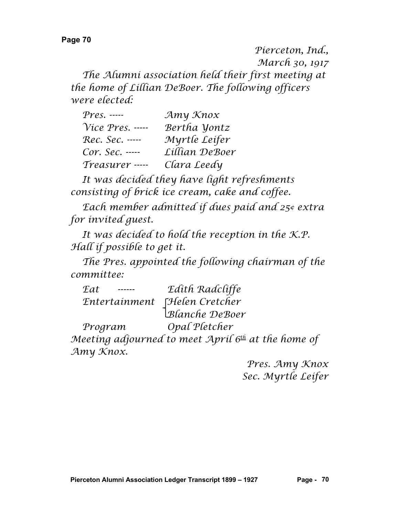*Pierceton, Ind., March 30, 1917 The Alumni association held their first meeting at the home of Lillian DeBoer. The following officers were elected:*

| $Press$ . -----    | Amy Knox       |
|--------------------|----------------|
| $Vice$ Pres. ----- | Bertha Yontz   |
| Rec. Sec. -----    | Myrtle Leifer  |
| Cor. Sec. -----    | Lillian DeBoer |
| Treasurer -----    | Clara Leedy    |

*It was decided they have light refreshments consisting of brick ice cream, cake and coffee.*

*Each member admitted if dues paid and 25¢ extra for invited guest.*

*It was decided to hold the reception in the K.P. Hall if possible to get it.*

*The Pres. appointed the following chairman of the committee:*

| <b>Eat</b> | Edith Radcliffe                                |
|------------|------------------------------------------------|
|            | Entertainment [Helen Cretcher                  |
|            | Blanche DeBoer                                 |
| Program    | Opal Pletcher                                  |
|            | eeting adiourned to meet. April 6th at the hor |

*Meeting adjourned to meet April 6th at the home of Amy Knox.*

> *Pres. Amy Knox Sec. Myrtle Leifer*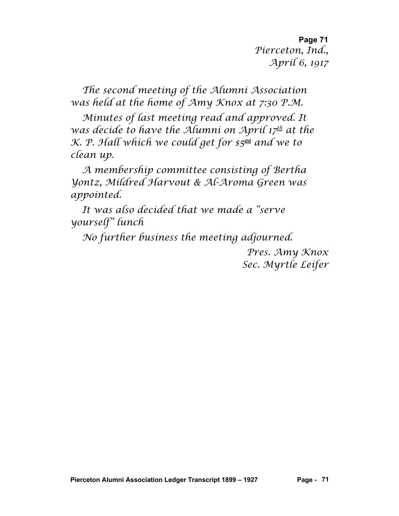**Page 71** *Pierceton, Ind., April 6, 1917*

*The second meeting of the Alumni Association was held at the home of Amy Knox at 7:30 P.M.*

*Minutes of last meeting read and approved. It was decide to have the Alumni on April 17th at the K. P. Hall which we could get for \$500 and we to clean up.*

*A membership committee consisting of Bertha Yontz, Mildred Harvout & Al-Aroma Green was appointed.*

*It was also decided that we made a "serve yourself" lunch*

*No further business the meeting adjourned.*

*Pres. Amy Knox Sec. Myrtle Leifer*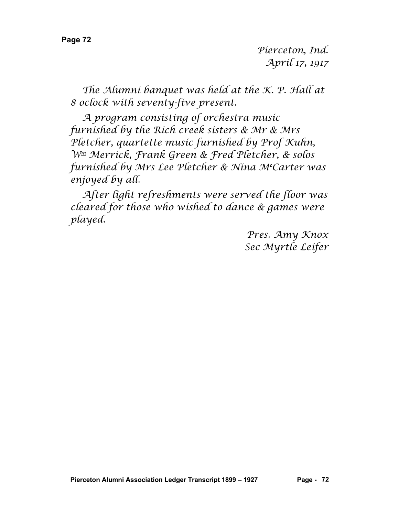*Pierceton, Ind. April 17, 1917*

*The Alumni banquet was held at the K. P. Hall at 8 oclock with seventy-five present.*

*A program consisting of orchestra music furnished by the Rich creek sisters & Mr & Mrs Pletcher, quartette music furnished by Prof Kuhn, Wm Merrick, Frank Green & Fred Pletcher, & solos furnished by Mrs Lee Pletcher & Nina Mc Carter was enjoyed by all.*

*After light refreshments were served the floor was cleared for those who wished to dance & games were played.*

> *Pres. Amy Knox Sec Myrtle Leifer*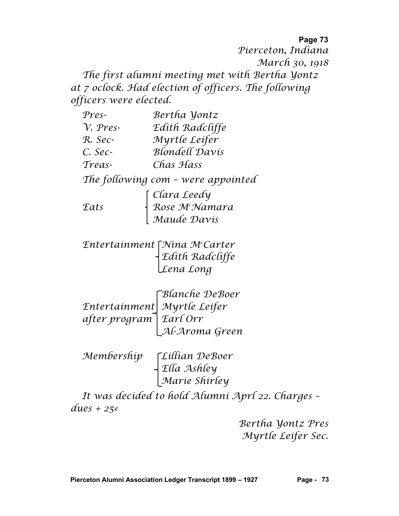## **Page 73** *Pierceton, Indiana March 30, 1918 The first alumni meeting met with Bertha Yontz at 7 oclock. Had election of officers. The following officers were elected.*

| $Pres-$          | Bertha Yontz                                             |
|------------------|----------------------------------------------------------|
| $\gamma$ . Pres- | Edith Radcliffe                                          |
| R. Sec-          | Myrtle Leifer                                            |
| C. Sec-          | <b>Blondell Davis</b>                                    |
| Treas-           | Chas Hass                                                |
|                  | The following com - were appointed                       |
|                  |                                                          |
| Eats             | Clara Leedy<br>Rose M <sup>c</sup> Namara<br>Maude Davis |
|                  |                                                          |

*Entertainment Nina Mc Carter Edith Radcliffe Lena Long*

*Blanche DeBoer Entertainment Myrtle Leifer after program Earl Orr Al-Aroma Green*

*Membership Lillian DeBoer Ella Ashley Marie Shirley*

*It was decided to hold Alumni Aprl 22. Charges – dues + 25¢*

> *Bertha Yontz Pres Myrtle Leifer Sec.*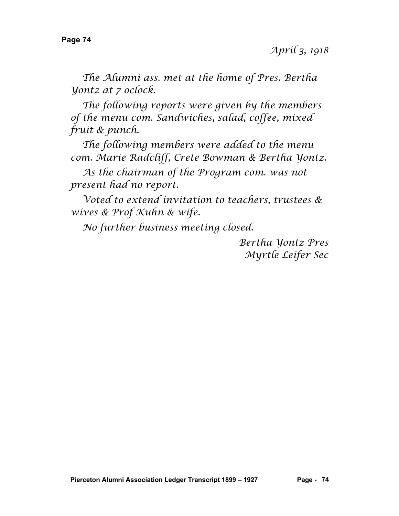*The Alumni ass. met at the home of Pres. Bertha Yontz at 7 oclock.*

*The following reports were given by the members of the menu com. Sandwiches, salad, coffee, mixed fruit & punch.*

*The following members were added to the menu com. Marie Radcliff, Crete Bowman & Bertha Yontz.*

*As the chairman of the Program com. was not present had no report.*

*Voted to extend invitation to teachers, trustees & wives & Prof Kuhn & wife.*

*No further business meeting closed.*

*Bertha Yontz Pres Myrtle Leifer Sec*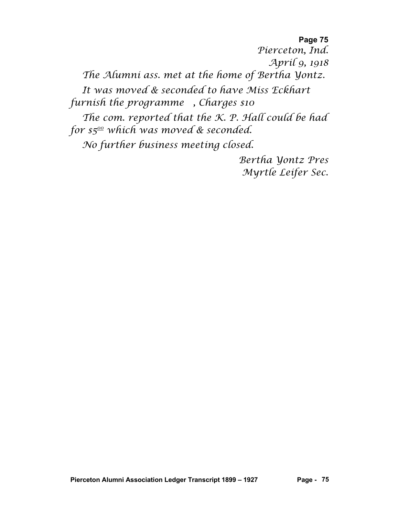**Page 75** *Pierceton, Ind. April 9, 1918 The Alumni ass. met at the home of Bertha Yontz. It was moved & seconded to have Miss Eckhart furnish the programme , Charges \$10 The com. reported that the K. P. Hall could be had for \$500 which was moved & seconded. No further business meeting closed.*

*Bertha Yontz Pres Myrtle Leifer Sec.*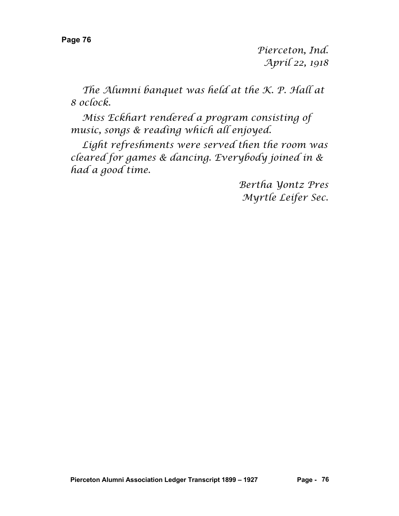*Pierceton, Ind. April 22, 1918*

*The Alumni banquet was held at the K. P. Hall at 8 oclock.*

*Miss Eckhart rendered a program consisting of music, songs & reading which all enjoyed.*

*Light refreshments were served then the room was cleared for games & dancing. Everybody joined in & had a good time.*

> *Bertha Yontz Pres Myrtle Leifer Sec.*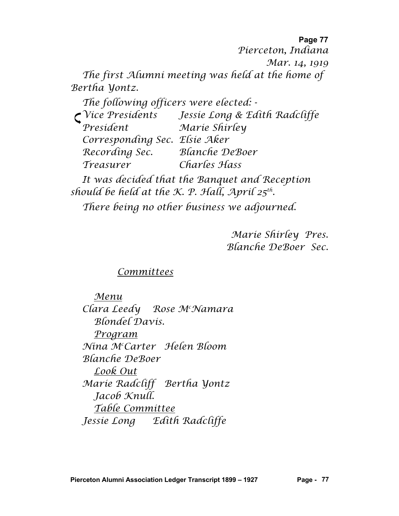*Pierceton, Indiana*

*Mar. 14, 1919*

*The first Alumni meeting was held at the home of Bertha Yontz.*

*The following officers were elected: - Vice Presidents Jessie Long & Edith Radcliffe President Marie Shirley Corresponding Sec. Elsie Aker Recording Sec. Blanche DeBoer Treasurer Charles Hass*

*It was decided that the Banquet and Reception should be held at the K. P. Hall, April 25th.*

*There being no other business we adjourned.*

*Marie Shirley Pres. Blanche DeBoer Sec.*

## *Committees*

*Menu Clara Leedy Rose Mc Namara Blondel Davis. Program Nina Mc Carter Helen Bloom Blanche DeBoer Look Out Marie Radcliff Bertha Yontz Jacob Knull. Table Committee Jessie Long Edith Radcliffe*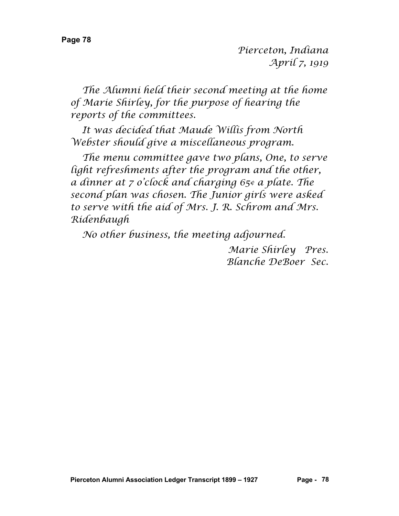*The Alumni held their second meeting at the home of Marie Shirley, for the purpose of hearing the reports of the committees.*

*It was decided that Maude Willis from North Webster should give a miscellaneous program.*

*The menu committee gave two plans, One, to serve light refreshments after the program and the other, a dinner at 7 o'clock and charging 65¢ a plate. The second plan was chosen. The Junior girls were asked to serve with the aid of Mrs. J. R. Schrom and Mrs. Ridenbaugh*

*No other business, the meeting adjourned.*

*Marie Shirley Pres. Blanche DeBoer Sec.*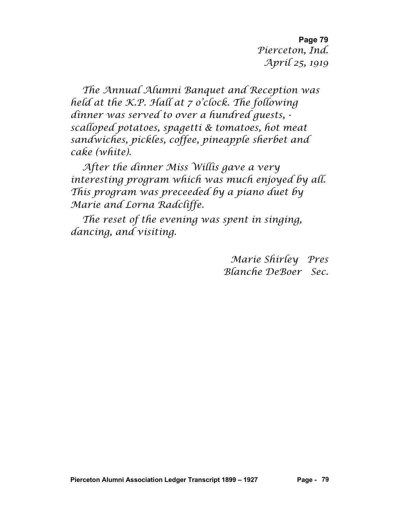**Page 79** *Pierceton, Ind. April 25, 1919*

*The Annual Alumni Banquet and Reception was held at the K.P. Hall at 7 o'clock. The following dinner was served to over a hundred guests, scalloped potatoes, spagetti & tomatoes, hot meat sandwiches, pickles, coffee, pineapple sherbet and cake (white).*

*After the dinner Miss Willis gave a very interesting program which was much enjoyed by all. This program was preceeded by a piano duet by Marie and Lorna Radcliffe.*

*The reset of the evening was spent in singing, dancing, and visiting.*

> *Marie Shirley Pres Blanche DeBoer Sec.*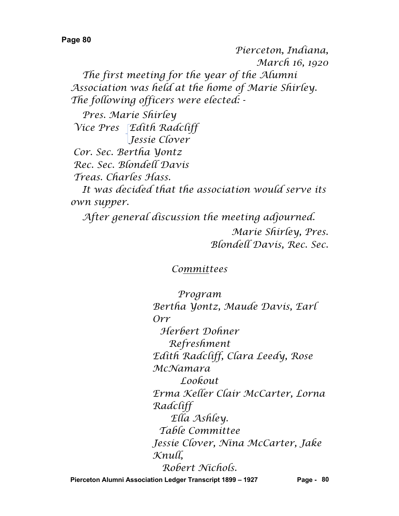*Pierceton, Indiana, March 16, 1920 The first meeting for the year of the Alumni Association was held at the home of Marie Shirley. The following officers were elected: -*

*Pres. Marie Shirley Vice Pres Edith Radcliff Jessie Clover*

*Cor. Sec. Bertha Yontz Rec. Sec. Blondell Davis Treas. Charles Hass.*

*It was decided that the association would serve its own supper.*

*After general discussion the meeting adjourned.*

*Marie Shirley, Pres. Blondell Davis, Rec. Sec.*

## *Committees*

*Program Bertha Yontz, Maude Davis, Earl Orr Herbert Dohner Refreshment Edith Radcliff, Clara Leedy, Rose McNamara Lookout Erma Keller Clair McCarter, Lorna Radcliff Ella Ashley. Table Committee Jessie Clover, Nina McCarter, Jake Knull, Robert Nichols.*

**Pierceton Alumni Association Ledger Transcript 1899 – 1927 Page - 80**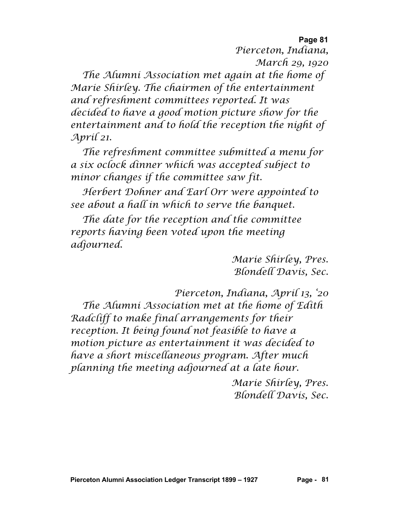**Page 81** *Pierceton, Indiana, March 29, 1920*

*The Alumni Association met again at the home of Marie Shirley. The chairmen of the entertainment and refreshment committees reported. It was decided to have a good motion picture show for the entertainment and to hold the reception the night of April 21.*

*The refreshment committee submitted a menu for a six oclock dinner which was accepted subject to minor changes if the committee saw fit.*

*Herbert Dohner and Earl Orr were appointed to see about a hall in which to serve the banquet.*

*The date for the reception and the committee reports having been voted upon the meeting adjourned.*

> *Marie Shirley, Pres. Blondell Davis, Sec.*

*Pierceton, Indiana, April 13, '20*

*The Alumni Association met at the home of Edith Radcliff to make final arrangements for their reception. It being found not feasible to have a motion picture as entertainment it was decided to have a short miscellaneous program. After much planning the meeting adjourned at a late hour.*

> *Marie Shirley, Pres. Blondell Davis, Sec.*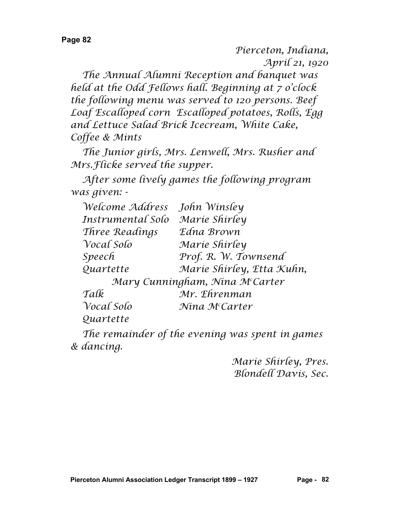*Pierceton, Indiana, April 21, 1920*

*The Annual Alumni Reception and banquet was held at the Odd Fellows hall. Beginning at 7 o'clock the following menu was served to 120 persons. Beef Loaf Escalloped corn Escalloped potatoes, Rolls, Egg and Lettuce Salad Brick Icecream, White Cake, Coffee & Mints*

*The Junior girls, Mrs. Lenwell, Mrs. Rusher and Mrs.Flicke served the supper.*

*After some lively games the following program was given: -*

| Welcome Address   | John Winsley                   |
|-------------------|--------------------------------|
| Instrumental Solo | Marie Shirley                  |
| Three Readings    | Edna Brown                     |
| Vocal Solo        | Marie Shirley                  |
| Speech            | Prof. R. W. Townsend           |
| Quartette         | Marie Shirley, Etta Kuhn,      |
|                   | Mary Cunningham, Nina McCarter |
| Talk              | Mr. Ehrenman                   |
| Vocal Solo        | Nina McCarter                  |
| Quartette         |                                |
|                   |                                |

*The remainder of the evening was spent in games & dancing.*

> *Marie Shirley, Pres. Blondell Davis, Sec.*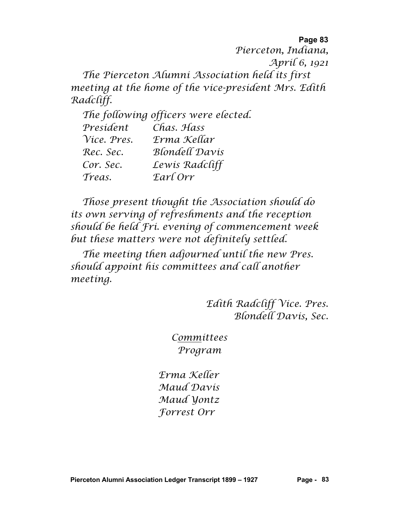*Pierceton, Indiana, April 6, 1921 The Pierceton Alumni Association held its first meeting at the home of the vice-president Mrs. Edith Radcliff.*

*The following officers were elected. President Chas. Hass Vice. Pres. Erma Kellar Rec. Sec. Blondell Davis Cor. Sec. Lewis Radcliff Treas. Earl Orr*

*Those present thought the Association should do its own serving of refreshments and the reception should be held Fri. evening of commencement week but these matters were not definitely settled.*

*The meeting then adjourned until the new Pres. should appoint his committees and call another meeting.*

> *Edith Radcliff Vice. Pres. Blondell Davis, Sec.*

*Committees Program*

*Erma Keller Maud Davis Maud Yontz Forrest Orr*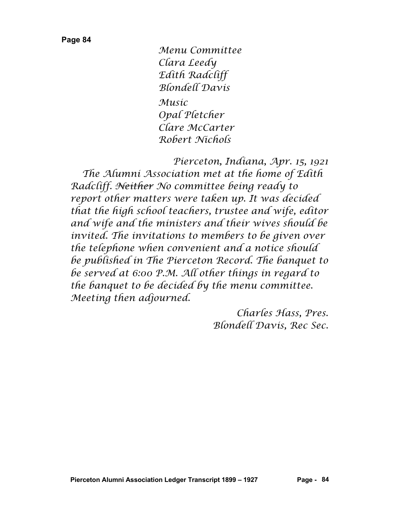*Menu Committee Clara Leedy Edith Radcliff Blondell Davis*

*Music Opal Pletcher Clare McCarter Robert Nichols*

*Pierceton, Indiana, Apr. 15, 1921 The Alumni Association met at the home of Edith Radcliff. Neither No committee being ready to report other matters were taken up. It was decided that the high school teachers, trustee and wife, editor and wife and the ministers and their wives should be invited. The invitations to members to be given over the telephone when convenient and a notice should be published in The Pierceton Record. The banquet to be served at 6:00 P.M. All other things in regard to the banquet to be decided by the menu committee. Meeting then adjourned.*

> *Charles Hass, Pres. Blondell Davis, Rec Sec.*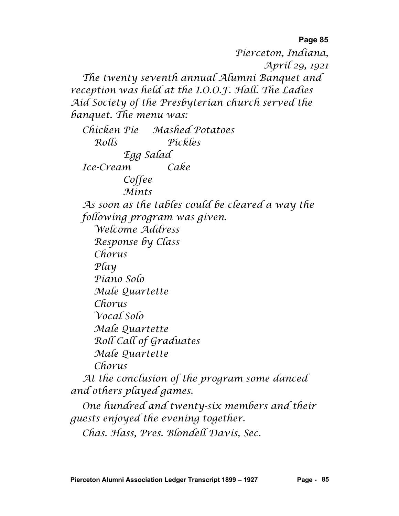*Pierceton, Indiana, April 29, 1921 The twenty seventh annual Alumni Banquet and reception was held at the I.O.O.F. Hall. The Ladies Aid Society of the Presbyterian church served the banquet. The menu was: Chicken Pie Mashed Potatoes Rolls Pickles Egg Salad Ice-Cream Cake Coffee Mints As soon as the tables could be cleared a way the following program was given. Welcome Address Response by Class Chorus Play Piano Solo Male Quartette Chorus Vocal Solo Male Quartette Roll Call of Graduates Male Quartette Chorus At the conclusion of the program some danced and others played games. One hundred and twenty-six members and their guests enjoyed the evening together.*

*Chas. Hass, Pres. Blondell Davis, Sec.*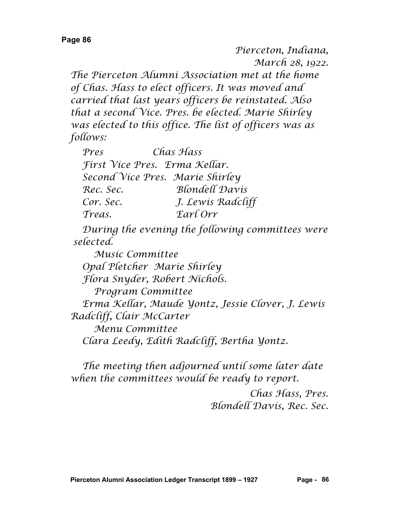*Pierceton, Indiana, March 28, 1922.*

*The Pierceton Alumni Association met at the home of Chas. Hass to elect officers. It was moved and carried that last years officers be reinstated. Also that a second Vice. Pres. be elected. Marie Shirley was elected to this office. The list of officers was as follows:*

| Pres                            | Chas Hass             |
|---------------------------------|-----------------------|
| First Vice Pres. Erma Kellar.   |                       |
| Second Vice Pres. Marie Shirley |                       |
| Rec. Sec.                       | <b>Blondell Davis</b> |
| Cor. Sec.                       | J. Lewis Radcliff     |
| Treas.                          | Earl Orr              |

*During the evening the following committees were selected.*

*Music Committee Opal Pletcher Marie Shirley Flora Snyder, Robert Nichols. Program Committee Erma Kellar, Maude Yontz, Jessie Clover, J. Lewis Radcliff, Clair McCarter Menu Committee Clara Leedy, Edith Radcliff, Bertha Yontz.*

*The meeting then adjourned until some later date when the committees would be ready to report.*

> *Chas Hass, Pres. Blondell Davis, Rec. Sec.*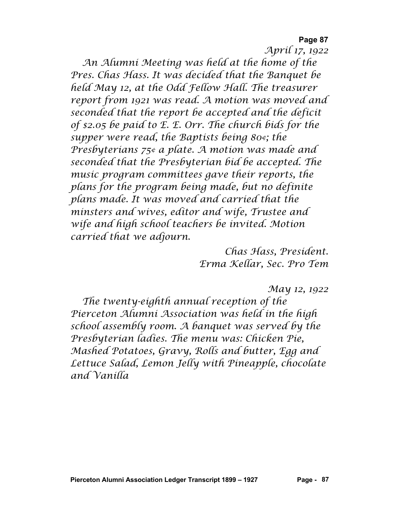*April 17, 1922*

*An Alumni Meeting was held at the home of the Pres. Chas Hass. It was decided that the Banquet be held May 12, at the Odd Fellow Hall. The treasurer report from 1921 was read. A motion was moved and seconded that the report be accepted and the deficit of \$2.05 be paid to E. E. Orr. The church bids for the supper were read, the Baptists being 80¢; the Presbyterians 75¢ a plate. A motion was made and seconded that the Presbyterian bid be accepted. The music program committees gave their reports, the plans for the program being made, but no definite plans made. It was moved and carried that the minsters and wives, editor and wife, Trustee and wife and high school teachers be invited. Motion carried that we adjourn.*

> *Chas Hass, President. Erma Kellar, Sec. Pro Tem*

> > *May 12, 1922*

*The twenty-eighth annual reception of the Pierceton Alumni Association was held in the high school assembly room. A banquet was served by the Presbyterian ladies. The menu was: Chicken Pie, Mashed Potatoes, Gravy, Rolls and butter, Egg and Lettuce Salad, Lemon Jelly with Pineapple, chocolate and Vanilla*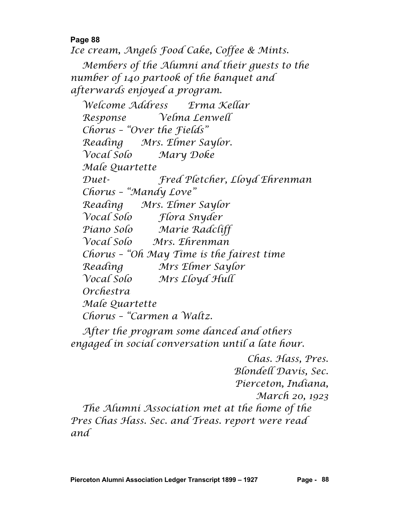*Ice cream, Angels Food Cake, Coffee & Mints.*

*Members of the Alumni and their guests to the number of 140 partook of the banquet and afterwards enjoyed a program.*

*Welcome Address Erma Kellar Response Velma Lenwell Chorus – "Over the Fields" Reading Mrs. Elmer Saylor. Vocal Solo Mary Doke Male Quartette Duet- Fred Pletcher, Lloyd Ehrenman Chorus – "Mandy Love" Reading Mrs. Elmer Saylor Vocal Solo Flora Snyder Piano Solo Marie Radcliff Vocal Solo Mrs. Ehrenman Chorus – "Oh May Time is the fairest time Reading Mrs Elmer Saylor Vocal Solo Mrs Lloyd Hull Orchestra Male Quartette Chorus – "Carmen a Waltz.*

*After the program some danced and others engaged in social conversation until a late hour.*

*Chas. Hass, Pres. Blondell Davis, Sec. Pierceton, Indiana, March 20, 1923 The Alumni Association met at the home of the Pres Chas Hass. Sec. and Treas. report were read and*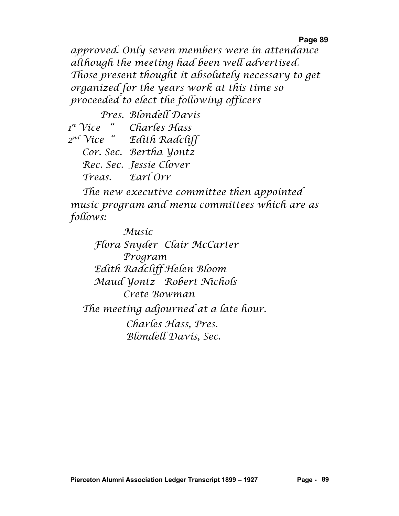*approved. Only seven members were in attendance although the meeting had been well advertised. Those present thought it absolutely necessary to get organized for the years work at this time so proceeded to elect the following officers*

 *Pres. Blondell Davis 1st Vice " Charles Hass 2nd Vice " Edith Radcliff Cor. Sec. Bertha Yontz Rec. Sec. Jessie Clover Treas. Earl Orr*

*The new executive committee then appointed music program and menu committees which are as follows:*

*Music Flora Snyder Clair McCarter Program Edith Radcliff Helen Bloom Maud Yontz Robert Nichols Crete Bowman The meeting adjourned at a late hour. Charles Hass, Pres. Blondell Davis, Sec.*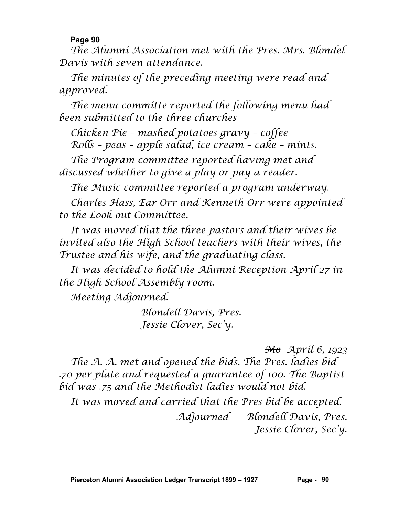*The Alumni Association met with the Pres. Mrs. Blondel Davis with seven attendance.*

*The minutes of the preceding meeting were read and approved.*

*The menu committe reported the following menu had been submitted to the three churches*

*Chicken Pie – mashed potatoes-gravy – coffee Rolls – peas – apple salad, ice cream – cake – mints.*

*The Program committee reported having met and discussed whether to give a play or pay a reader.*

*The Music committee reported a program underway.*

*Charles Hass, Ear Orr and Kenneth Orr were appointed to the Look out Committee.*

*It was moved that the three pastors and their wives be invited also the High School teachers with their wives, the Trustee and his wife, and the graduating class.*

*It was decided to hold the Alumni Reception April 27 in the High School Assembly room.*

*Meeting Adjourned.*

*Blondell Davis, Pres. Jessie Clover, Sec'y.*

*Mo April 6, 1923*

*The A. A. met and opened the bids. The Pres. ladies bid .70 per plate and requested a guarantee of 100. The Baptist bid was .75 and the Methodist ladies would not bid.*

*It was moved and carried that the Pres bid be accepted. Adjourned Blondell Davis, Pres. Jessie Clover, Sec'y.*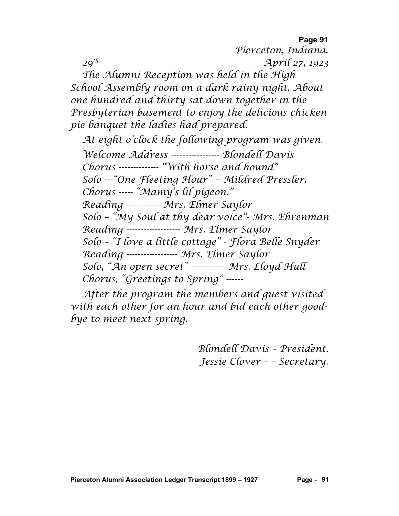**Page 91** *Pierceton, Indiana. 29th April 27, 1923 The Alumni Reception was held in the High School Assembly room on a dark rainy night. About one hundred and thirty sat down together in the Presbyterian basement to enjoy the delicious chicken pie banquet the ladies had prepared.*

*At eight o'clock the following program was given. Welcome Address ----------------- Blondell Davis Chorus -------------- "With horse and hound" Solo ---"One Fleeting Hour" -- Mildred Pressler. Chorus ----- "Mamy's lil pigeon." Reading ------------ Mrs. Elmer Saylor Solo – "My Soul at thy dear voice"- Mrs. Ehrenman Reading ------------------- Mrs. Elmer Saylor Solo – "I love a little cottage" - Flora Belle Snyder Reading ------------------ Mrs. Elmer Saylor Solo, "An open secret" ------------ Mrs. Lloyd Hull Chorus, "Greetings to Spring" ------*

*After the program the members and guest visited with each other for an hour and bid each other goodbye to meet next spring.*

> *Blondell Davis – President. Jessie Clover – – Secretary.*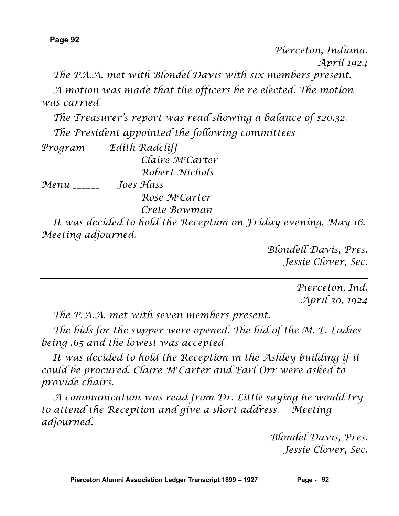*Pierceton, Indiana. April 1924*

*The PA.A. met with Blondel Davis with six members present.*

*A motion was made that the officers be re elected. The motion was carried.*

*The Treasurer's report was read showing a balance of \$20.32.*

*The President appointed the following committees -*

*Program \_\_\_\_ Edith Radcliff Claire Mc Carter Robert Nichols*

*Menu \_\_\_\_\_\_ Joes Hass*

*Rose Mc Carter*

*Crete Bowman*

*It was decided to hold the Reception on Friday evening, May 16. Meeting adjourned.*

> *Blondell Davis, Pres. Jessie Clover, Sec.*

> > *Pierceton, Ind. April 30, 1924*

*The P.A.A. met with seven members present.*

*The bids for the supper were opened. The bid of the M. E. Ladies being .65 and the lowest was accepted.*

It was decided to hold the Reception in the Ashley building if it *could be procured. Claire Mc Carter and Earl Orr were asked to provide chairs.*

*A communication was read from Dr. Little saying he would try to attend the Reception and give a short address. Meeting adjourned.*

> *Blondel Davis, Pres. Jessie Clover, Sec.*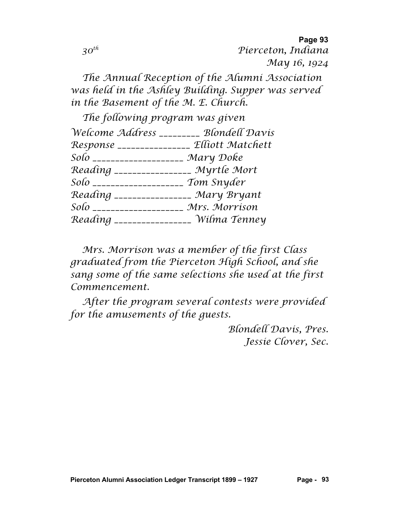**Page 93** *30th Pierceton, Indiana May 16, 1924*

*The Annual Reception of the Alumni Association was held in the Ashley Building. Supper was served in the Basement of the M. E. Church.*

| The following program was given            |  |
|--------------------------------------------|--|
| Welcome Address _________ Blondell Davis   |  |
| Response _______________ Elliott Matchett  |  |
| Solo _____________________<br>Mary Doke    |  |
| Reading ________________ Myrtle Mort       |  |
| Tom Snyder<br>Solo _____________________   |  |
| Reading ________________ Mary Bryant       |  |
| Mrs. Morrison<br>Solo ____________________ |  |
| _______________ Wilma Tenney               |  |
|                                            |  |

*Mrs. Morrison was a member of the first Class graduated from the Pierceton High School, and she sang some of the same selections she used at the first Commencement.*

*After the program several contests were provided for the amusements of the guests.*

> *Blondell Davis, Pres. Jessie Clover, Sec.*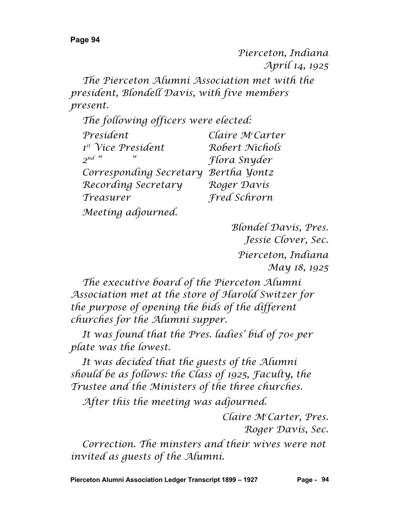*Pierceton, Indiana April 14, 1925*

*The Pierceton Alumni Association met with the president, Blondell Davis, with five members present.*

| The following officers were elected: |                     |
|--------------------------------------|---------------------|
| President                            | Claire McCarter     |
| <sup>1st</sup> Vice President        | Robert Nichols      |
| $2^{nd}$ "<br>$\epsilon\epsilon$     | Flora Snyder        |
| Corresponding Secretary              | Bertha Yontz        |
| Recording Secretary                  | Roger Davis         |
| Treasurer                            | <b>Fred Schrorn</b> |
| Meeting adjourned.                   |                     |

*Blondel Davis, Pres. Jessie Clover, Sec. Pierceton, Indiana May 18, 1925*

*The executive board of the Pierceton Alumni Association met at the store of Harold Switzer for the purpose of opening the bids of the different churches for the Alumni supper.*

*It was found that the Pres. ladies' bid of 70¢ per plate was the lowest.*

*It was decided that the guests of the Alumni should be as follows: the Class of 1925, Faculty, the Trustee and the Ministers of the three churches.*

*After this the meeting was adjourned.*

*Claire Mc Carter, Pres. Roger Davis, Sec.*

*Correction. The minsters and their wives were not invited as guests of the Alumni.*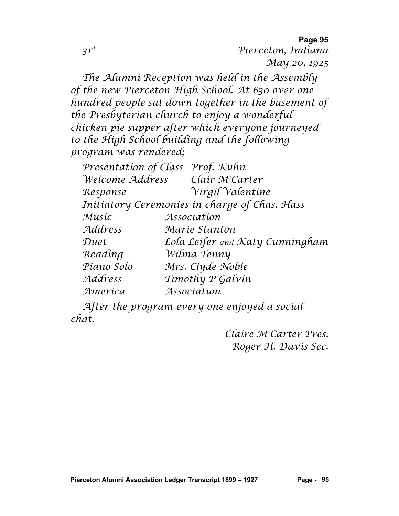**Page 95** *31st Pierceton, Indiana May 20, 1925*

*The Alumni Reception was held in the Assembly of the new Pierceton High School. At 630 over one hundred people sat down together in the basement of the Presbyterian church to enjoy a wonderful chicken pie supper after which everyone journeyed to the High School building and the following program was rendered;*

|            | Presentation of Class Prof. Kuhn              |
|------------|-----------------------------------------------|
|            | Welcome Address Clair McCarter                |
| Response   | Virgil Valentine                              |
|            | Initiatory Ceremonies in charge of Chas. Hass |
| Musíc      | Association                                   |
| Address    | Maríe Stanton                                 |
| Duet       | Lola Leifer and Katy Cunningham               |
| Reading    | Wilma Tenny                                   |
| Piano Solo | Mrs. Clyde Noble                              |
| Address    | Timothy P Galvin                              |
| America    | Association                                   |

*After the program every one enjoyed a social chat.*

> *Claire Mc Carter Pres. Roger H. Davis Sec.*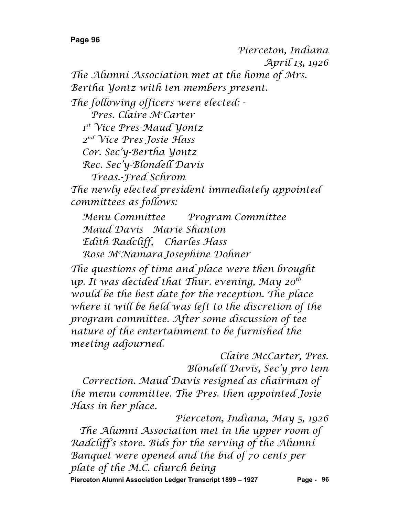*Pierceton, Indiana April 13, 1926 The Alumni Association met at the home of Mrs. Bertha Yontz with ten members present. The following officers were elected: - Pres. Claire Mc Carter 1st Vice Pres-Maud Yontz 2nd Vice Pres-Josie Hass Cor. Sec'y-Bertha Yontz Rec. Sec'y-Blondell Davis Treas.-Fred Schrom The newly elected president immediately appointed committees as follows: Menu Committee Program Committee Maud Davis Marie Shanton Edith Radcliff, Charles Hass Rose Mc NamaraJosephine Dohner The questions of time and place were then brought up. It was decided that Thur. evening, May 20th would be the best date for the reception. The place where it will be held was left to the discretion of the program committee. After some discussion of tee nature of the entertainment to be furnished the* 

*meeting adjourned. Claire McCarter, Pres. Blondell Davis, Sec'y pro tem Correction. Maud Davis resigned as chairman of the menu committee. The Pres. then appointed Josie Hass in her place.*

*Pierceton, Indiana, May 5, 1926 The Alumni Association met in the upper room of Radcliff's store. Bids for the serving of the Alumni Banquet were opened and the bid of 70 cents per plate of the M.C. church being*

**Pierceton Alumni Association Ledger Transcript 1899 – 1927 Page - 96**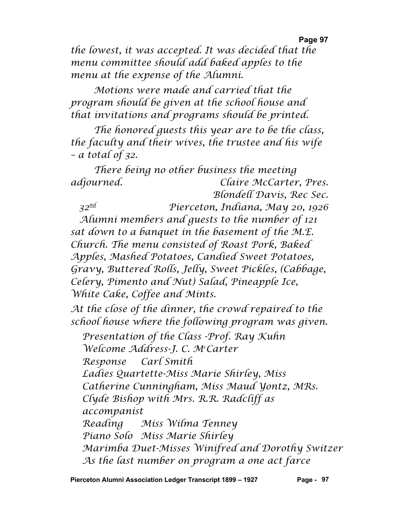*the lowest, it was accepted. It was decided that the menu committee should add baked apples to the menu at the expense of the Alumni.*

*Motions were made and carried that the program should be given at the school house and that invitations and programs should be printed.*

*The honored guests this year are to be the class, the faculty and their wives, the trustee and his wife – a total of 32.*

*There being no other business the meeting adjourned. Claire McCarter, Pres. Blondell Davis, Rec Sec.*

*32nd Pierceton, Indiana, May 20, 1926 Alumni members and guests to the number of 121 sat down to a banquet in the basement of the M.E. Church. The menu consisted of Roast Pork, Baked Apples, Mashed Potatoes, Candied Sweet Potatoes, Gravy, Buttered Rolls, Jelly, Sweet Pickles, (Cabbage, Celery, Pimento and Nut) Salad, Pineapple Ice, White Cake, Coffee and Mints.*

*At the close of the dinner, the crowd repaired to the school house where the following program was given.*

*Presentation of the Class -Prof. Ray Kuhn Welcome Address-J. C. Mc Carter Response Carl Smith Ladies Quartette-Miss Marie Shirley, Miss Catherine Cunningham, Miss Maud Yontz, MRs. Clyde Bishop with Mrs. R.R. Radcliff as accompanist Reading Miss Wilma Tenney Piano Solo Miss Marie Shirley Marimba Duet-Misses Winifred and Dorothy Switzer As the last number on program a one act farce*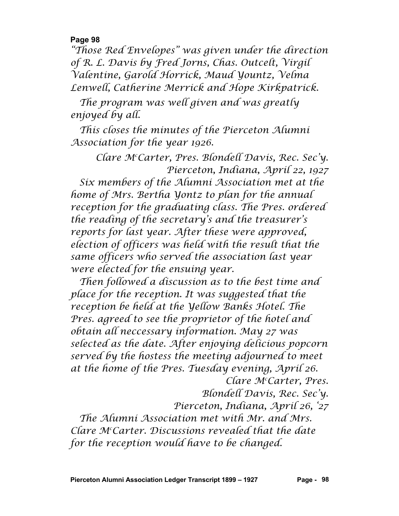*"Those Red Envelopes" was given under the direction of R. L. Davis by Fred Jorns, Chas. Outcelt, Virgil Valentine, Garold Horrick, Maud Yountz, Velma Lenwell, Catherine Merrick and Hope Kirkpatrick.*

*The program was well given and was greatly enjoyed by all.*

*This closes the minutes of the Pierceton Alumni Association for the year 1926.*

*Clare Mc Carter, Pres. Blondell Davis, Rec. Sec'y. Pierceton, Indiana, April 22, 1927 Six members of the Alumni Association met at the home of Mrs. Bertha Yontz to plan for the annual reception for the graduating class. The Pres. ordered the reading of the secretary's and the treasurer's reports for last year. After these were approved, election of officers was held with the result that the same officers who served the association last year were elected for the ensuing year.*

*Then followed a discussion as to the best time and place for the reception. It was suggested that the reception be held at the Yellow Banks Hotel. The Pres. agreed to see the proprietor of the hotel and obtain all neccessary information. May 27 was selected as the date. After enjoying delicious popcorn served by the hostess the meeting adjourned to meet at the home of the Pres. Tuesday evening, April 26. Clare Mc Carter, Pres.*

*Blondell Davis, Rec. Sec'y.*

*Pierceton, Indiana, April 26, '27*

*The Alumni Association met with Mr. and Mrs. Clare Mc Carter. Discussions revealed that the date for the reception would have to be changed.*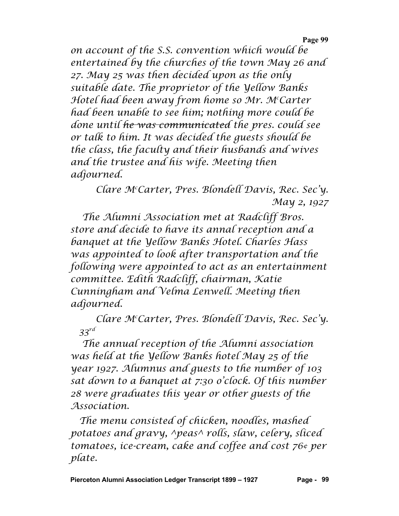*on account of the S.S. convention which would be entertained by the churches of the town May 26 and 27. May 25 was then decided upon as the only suitable date. The proprietor of the Yellow Banks Hotel had been away from home so Mr. Mc Carter had been unable to see him; nothing more could be done until he was communicated the pres. could see or talk to him. It was decided the guests should be the class, the faculty and their husbands and wives and the trustee and his wife. Meeting then adjourned.*

> *Clare Mc Carter, Pres. Blondell Davis, Rec. Sec'y. May 2, 1927*

*The Alumni Association met at Radcliff Bros. store and decide to have its annal reception and a banquet at the Yellow Banks Hotel. Charles Hass was appointed to look after transportation and the following were appointed to act as an entertainment committee. Edith Radcliff, chairman, Katie Cunningham and Velma Lenwell. Meeting then adjourned.*

*Clare Mc Carter, Pres. Blondell Davis, Rec. Sec'y. 33rd*

*The annual reception of the Alumni association was held at the Yellow Banks hotel May 25 of the year 1927. Alumnus and guests to the number of 103 sat down to a banquet at 7:30 o'clock. Of this number 28 were graduates this year or other guests of the Association.*

*The menu consisted of chicken, noodles, mashed potatoes and gravy, ^peas^ rolls, slaw, celery, sliced tomatoes, ice-cream, cake and coffee and cost 76¢ per plate.*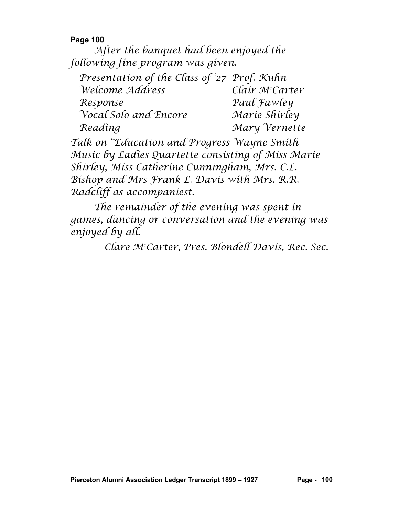*After the banquet had been enjoyed the following fine program was given.*

*Presentation of the Class of '27 Prof. Kuhn*  $We$ *Come Address Carter Response Paul Fawley Vocal Solo and Encore Marie Shirley Reading Mary Vernette Talk on "Education and Progress Wayne Smith Music by Ladies Quartette consisting of Miss Marie Shirley, Miss Catherine Cunningham, Mrs. C.L. Bishop and Mrs Frank L. Davis with Mrs. R.R. Radcliff as accompaniest.*

*The remainder of the evening was spent in games, dancing or conversation and the evening was enjoyed by all.*

*Clare Mc Carter, Pres. Blondell Davis, Rec. Sec.*